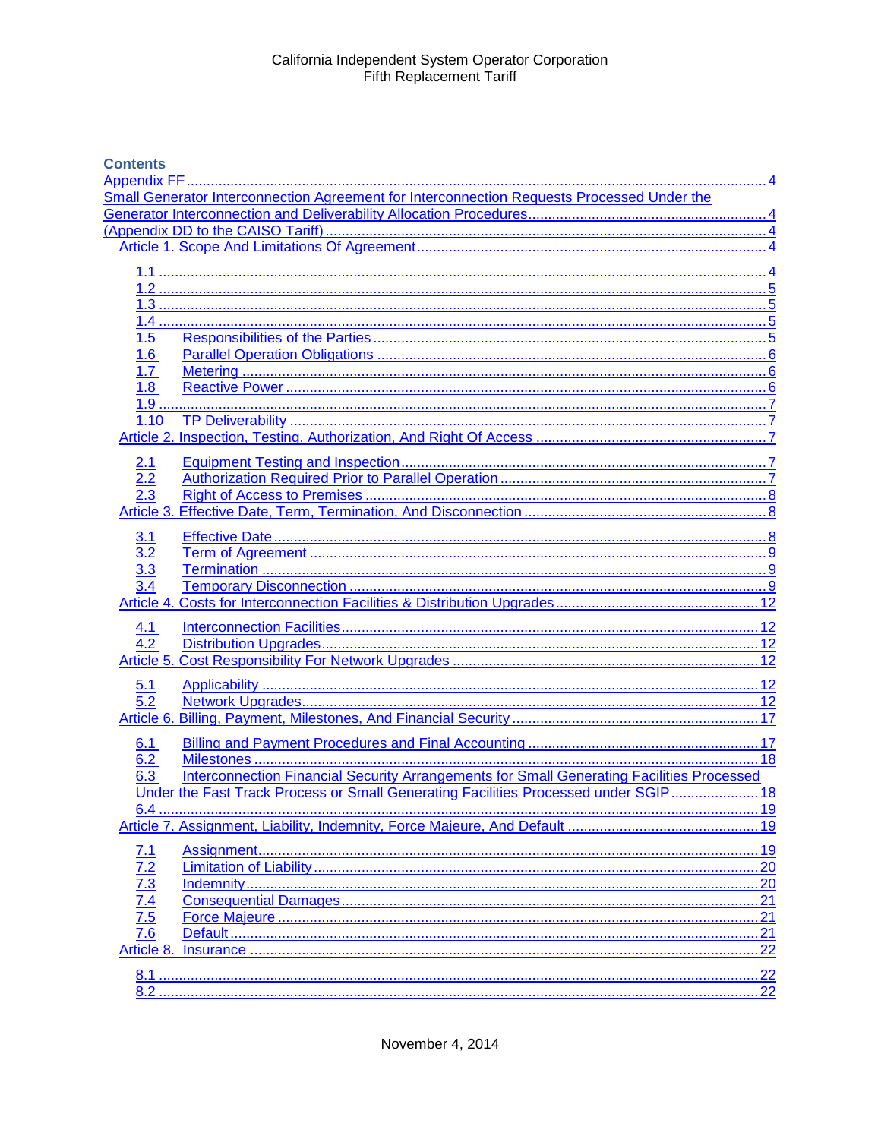# **Contents**

|                                                             | Small Generator Interconnection Agreement for Interconnection Requests Processed Under the |     |
|-------------------------------------------------------------|--------------------------------------------------------------------------------------------|-----|
|                                                             |                                                                                            |     |
|                                                             |                                                                                            |     |
|                                                             |                                                                                            |     |
|                                                             |                                                                                            |     |
|                                                             |                                                                                            |     |
|                                                             |                                                                                            |     |
|                                                             |                                                                                            |     |
|                                                             |                                                                                            |     |
| 1.5                                                         |                                                                                            |     |
| 1.6                                                         |                                                                                            | . 6 |
| 1.7                                                         |                                                                                            | 6   |
| 1.8                                                         |                                                                                            |     |
|                                                             |                                                                                            |     |
| 1.10                                                        |                                                                                            |     |
|                                                             |                                                                                            |     |
|                                                             |                                                                                            |     |
| 2.1                                                         |                                                                                            |     |
|                                                             |                                                                                            |     |
|                                                             |                                                                                            |     |
|                                                             |                                                                                            |     |
| 3.1                                                         |                                                                                            |     |
| 3.2                                                         |                                                                                            |     |
| $\overline{3.3}$                                            |                                                                                            |     |
| 3.4                                                         |                                                                                            |     |
|                                                             |                                                                                            |     |
|                                                             |                                                                                            |     |
| 4.1                                                         |                                                                                            |     |
| 4.2                                                         |                                                                                            |     |
|                                                             |                                                                                            |     |
|                                                             |                                                                                            |     |
| 5.1                                                         |                                                                                            |     |
| 5.2                                                         |                                                                                            |     |
|                                                             |                                                                                            |     |
| 6.1                                                         |                                                                                            |     |
| 6.2                                                         |                                                                                            | .18 |
| 6.3                                                         | Interconnection Financial Security Arrangements for Small Generating Facilities Processed  |     |
|                                                             | Under the Fast Track Process or Small Generating Facilities Processed under SGIP 18        |     |
|                                                             |                                                                                            |     |
|                                                             |                                                                                            |     |
|                                                             |                                                                                            |     |
| 7.1                                                         |                                                                                            |     |
| 7.2                                                         |                                                                                            |     |
| $\frac{7.3}{7.4}$<br>$\frac{7.4}{7.5}$<br>$\frac{7.5}{7.6}$ |                                                                                            |     |
|                                                             |                                                                                            |     |
|                                                             |                                                                                            |     |
|                                                             |                                                                                            |     |
| Article 8.                                                  |                                                                                            |     |
|                                                             |                                                                                            |     |
| 8.1                                                         |                                                                                            |     |
|                                                             |                                                                                            |     |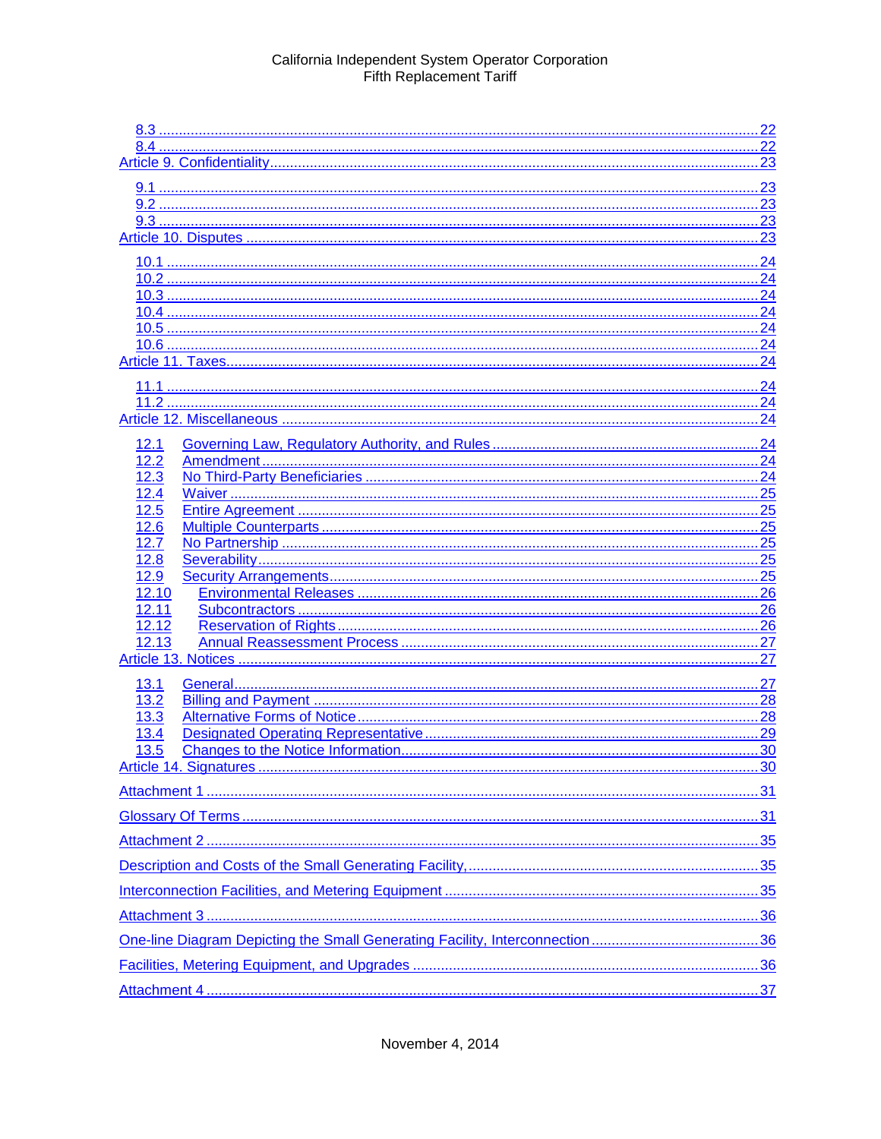|              | .23 |
|--------------|-----|
|              |     |
|              |     |
|              |     |
|              |     |
|              |     |
|              |     |
|              | 24  |
|              | 24  |
|              | 24  |
|              |     |
|              | .24 |
|              |     |
|              |     |
| 12.1         |     |
| 12.2         |     |
| 12.3         |     |
| 12.4         |     |
| 12.5         | 25  |
| 12.6<br>12.7 |     |
| 12.8         |     |
| 12.9         |     |
| 12.10        |     |
| 12.11        | 26  |
| 12.12        |     |
| 12.13        | 27  |
|              |     |
| 13.1         | .27 |
| 13.2         |     |
| 13.3         |     |
| 13.4         |     |
| 13.5         |     |
|              |     |
|              |     |
|              |     |
|              |     |
|              |     |
|              |     |
|              |     |
|              |     |
|              |     |
|              |     |
|              |     |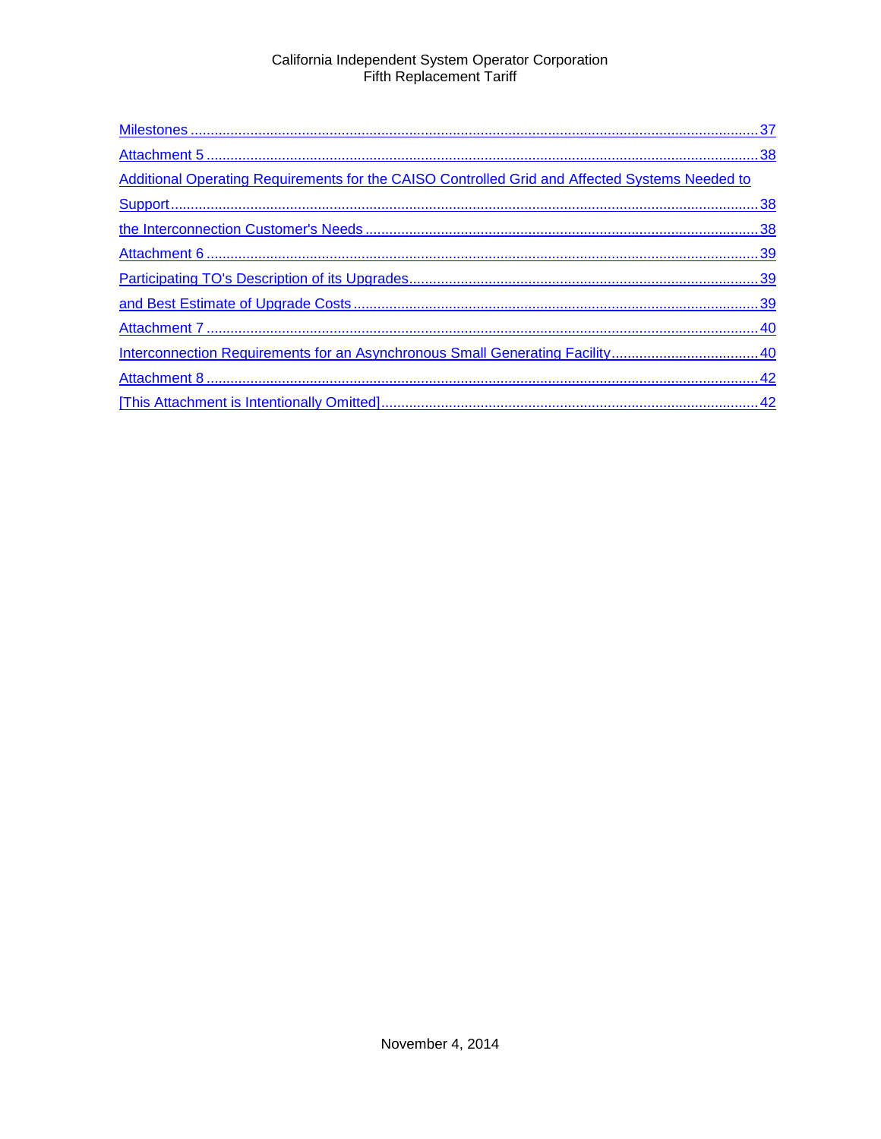| Additional Operating Requirements for the CAISO Controlled Grid and Affected Systems Needed to |  |
|------------------------------------------------------------------------------------------------|--|
|                                                                                                |  |
|                                                                                                |  |
|                                                                                                |  |
|                                                                                                |  |
|                                                                                                |  |
|                                                                                                |  |
|                                                                                                |  |
|                                                                                                |  |
|                                                                                                |  |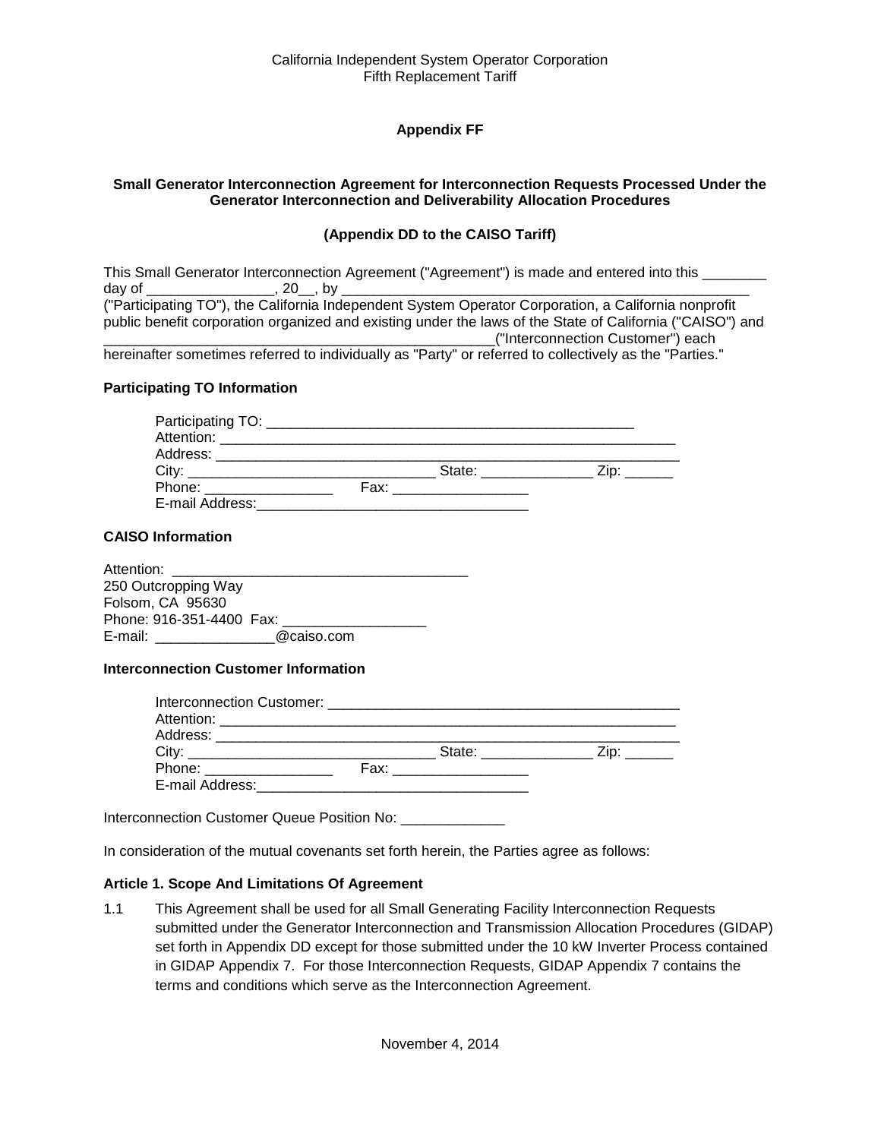# **Appendix FF**

#### <span id="page-3-2"></span><span id="page-3-1"></span><span id="page-3-0"></span>**Small Generator Interconnection Agreement for Interconnection Requests Processed Under the Generator Interconnection and Deliverability Allocation Procedures**

#### **(Appendix DD to the CAISO Tariff)**

|        |             | This Small Generator Interconnection Agreement ("Agreement") is made and entered into this                |
|--------|-------------|-----------------------------------------------------------------------------------------------------------|
| dav of | $, 20$ , by |                                                                                                           |
|        |             | ("Participating TO"), the California Independent System Operator Corporation, a California nonprofit      |
|        |             | public benefit corporation organized and existing under the laws of the State of California ("CAISO") and |
|        |             | ("Interconnection Customer") each                                                                         |
|        |             | borginattar comotimos referred to individually as "Darty" ar referred to collectively as the "Darties "   |

hereinafter sometimes referred to individually as "Party" or referred to collectively as the "Parties."

#### **Participating TO Information**

| Attention: ____________________ |      |                                                                                                                       |      |  |
|---------------------------------|------|-----------------------------------------------------------------------------------------------------------------------|------|--|
|                                 |      |                                                                                                                       |      |  |
|                                 |      | State: _________                                                                                                      | Zip: |  |
| Phone: _______________          | Fax: | <u> 1980 - Jan Barnett, mars andrew Maria Barnett, fransk konge og det ble større og med som for det ble større o</u> |      |  |
| E-mail Address:                 |      |                                                                                                                       |      |  |

#### **CAISO Information**

| Attention:               |            |  |
|--------------------------|------------|--|
| 250 Outcropping Way      |            |  |
| Folsom, CA 95630         |            |  |
| Phone: 916-351-4400 Fax: |            |  |
| E-mail:                  | @caiso.com |  |

#### **Interconnection Customer Information**

| City: $\frac{1}{2}$            | State: _________         | $\mathsf{Zip:}$ |
|--------------------------------|--------------------------|-----------------|
| Phone: ________________        | Fax: ___________________ |                 |
| E-mail Address:_______________ |                          |                 |

Interconnection Customer Queue Position No: \_\_\_\_\_\_\_\_\_\_\_\_\_\_\_

In consideration of the mutual covenants set forth herein, the Parties agree as follows:

#### <span id="page-3-3"></span>**Article 1. Scope And Limitations Of Agreement**

<span id="page-3-4"></span>1.1 This Agreement shall be used for all Small Generating Facility Interconnection Requests submitted under the Generator Interconnection and Transmission Allocation Procedures (GIDAP) set forth in Appendix DD except for those submitted under the 10 kW Inverter Process contained in GIDAP Appendix 7. For those Interconnection Requests, GIDAP Appendix 7 contains the terms and conditions which serve as the Interconnection Agreement.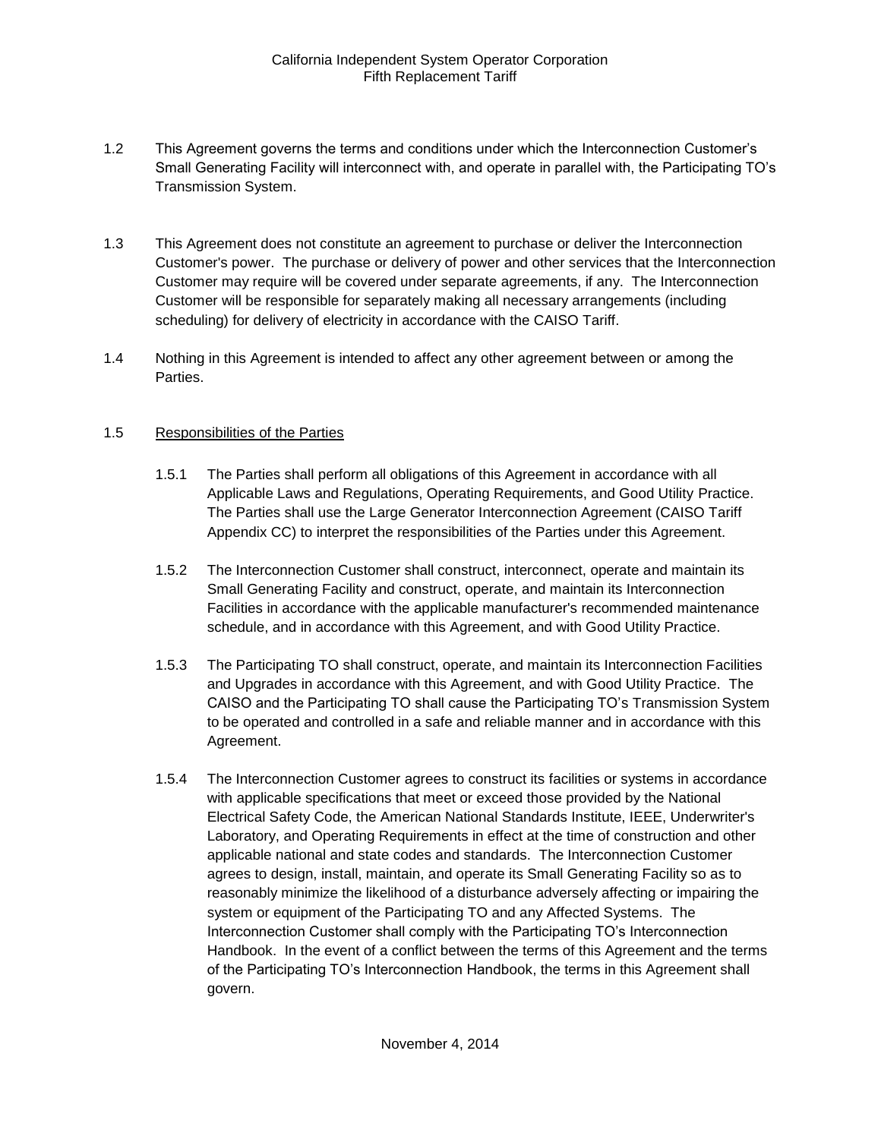- <span id="page-4-0"></span>1.2 This Agreement governs the terms and conditions under which the Interconnection Customer's Small Generating Facility will interconnect with, and operate in parallel with, the Participating TO's Transmission System.
- <span id="page-4-1"></span>1.3 This Agreement does not constitute an agreement to purchase or deliver the Interconnection Customer's power. The purchase or delivery of power and other services that the Interconnection Customer may require will be covered under separate agreements, if any. The Interconnection Customer will be responsible for separately making all necessary arrangements (including scheduling) for delivery of electricity in accordance with the CAISO Tariff.
- <span id="page-4-2"></span>1.4 Nothing in this Agreement is intended to affect any other agreement between or among the Parties.

#### <span id="page-4-3"></span>1.5 Responsibilities of the Parties

- 1.5.1 The Parties shall perform all obligations of this Agreement in accordance with all Applicable Laws and Regulations, Operating Requirements, and Good Utility Practice. The Parties shall use the Large Generator Interconnection Agreement (CAISO Tariff Appendix CC) to interpret the responsibilities of the Parties under this Agreement.
- 1.5.2 The Interconnection Customer shall construct, interconnect, operate and maintain its Small Generating Facility and construct, operate, and maintain its Interconnection Facilities in accordance with the applicable manufacturer's recommended maintenance schedule, and in accordance with this Agreement, and with Good Utility Practice.
- 1.5.3 The Participating TO shall construct, operate, and maintain its Interconnection Facilities and Upgrades in accordance with this Agreement, and with Good Utility Practice. The CAISO and the Participating TO shall cause the Participating TO's Transmission System to be operated and controlled in a safe and reliable manner and in accordance with this Agreement.
- 1.5.4 The Interconnection Customer agrees to construct its facilities or systems in accordance with applicable specifications that meet or exceed those provided by the National Electrical Safety Code, the American National Standards Institute, IEEE, Underwriter's Laboratory, and Operating Requirements in effect at the time of construction and other applicable national and state codes and standards. The Interconnection Customer agrees to design, install, maintain, and operate its Small Generating Facility so as to reasonably minimize the likelihood of a disturbance adversely affecting or impairing the system or equipment of the Participating TO and any Affected Systems. The Interconnection Customer shall comply with the Participating TO's Interconnection Handbook. In the event of a conflict between the terms of this Agreement and the terms of the Participating TO's Interconnection Handbook, the terms in this Agreement shall govern.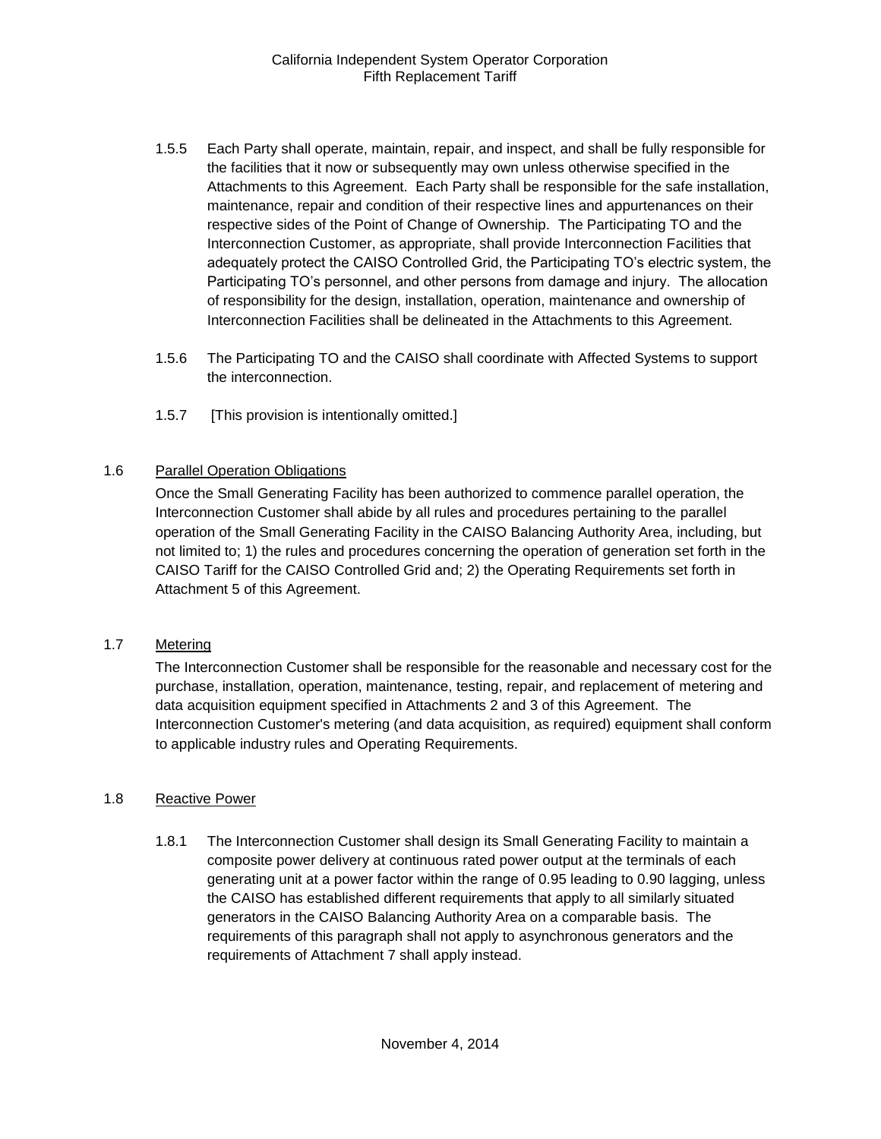- 1.5.5 Each Party shall operate, maintain, repair, and inspect, and shall be fully responsible for the facilities that it now or subsequently may own unless otherwise specified in the Attachments to this Agreement. Each Party shall be responsible for the safe installation, maintenance, repair and condition of their respective lines and appurtenances on their respective sides of the Point of Change of Ownership. The Participating TO and the Interconnection Customer, as appropriate, shall provide Interconnection Facilities that adequately protect the CAISO Controlled Grid, the Participating TO's electric system, the Participating TO's personnel, and other persons from damage and injury. The allocation of responsibility for the design, installation, operation, maintenance and ownership of Interconnection Facilities shall be delineated in the Attachments to this Agreement.
- 1.5.6 The Participating TO and the CAISO shall coordinate with Affected Systems to support the interconnection.
- 1.5.7 [This provision is intentionally omitted.]

#### <span id="page-5-0"></span>1.6 Parallel Operation Obligations

Once the Small Generating Facility has been authorized to commence parallel operation, the Interconnection Customer shall abide by all rules and procedures pertaining to the parallel operation of the Small Generating Facility in the CAISO Balancing Authority Area, including, but not limited to; 1) the rules and procedures concerning the operation of generation set forth in the CAISO Tariff for the CAISO Controlled Grid and; 2) the Operating Requirements set forth in Attachment 5 of this Agreement.

#### <span id="page-5-1"></span>1.7 Metering

The Interconnection Customer shall be responsible for the reasonable and necessary cost for the purchase, installation, operation, maintenance, testing, repair, and replacement of metering and data acquisition equipment specified in Attachments 2 and 3 of this Agreement. The Interconnection Customer's metering (and data acquisition, as required) equipment shall conform to applicable industry rules and Operating Requirements.

#### <span id="page-5-2"></span>1.8 Reactive Power

1.8.1 The Interconnection Customer shall design its Small Generating Facility to maintain a composite power delivery at continuous rated power output at the terminals of each generating unit at a power factor within the range of 0.95 leading to 0.90 lagging, unless the CAISO has established different requirements that apply to all similarly situated generators in the CAISO Balancing Authority Area on a comparable basis. The requirements of this paragraph shall not apply to asynchronous generators and the requirements of Attachment 7 shall apply instead.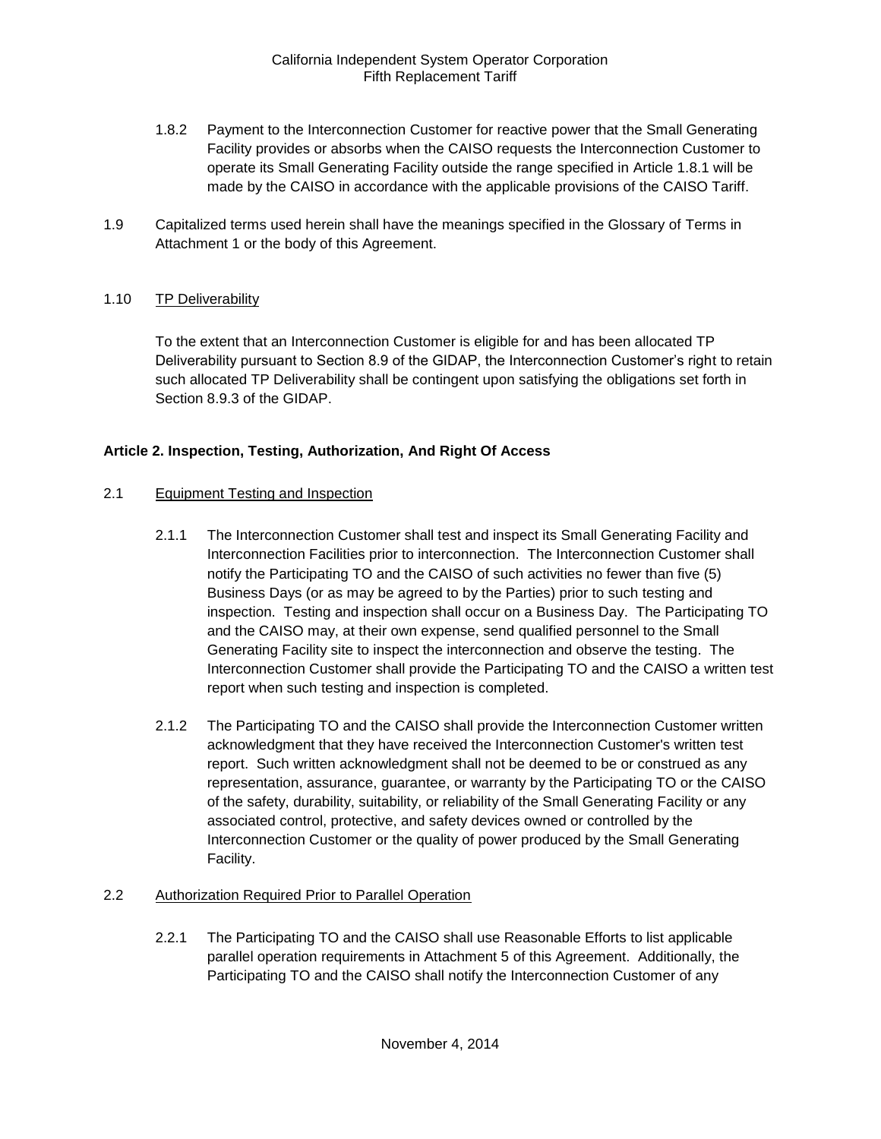- 1.8.2 Payment to the Interconnection Customer for reactive power that the Small Generating Facility provides or absorbs when the CAISO requests the Interconnection Customer to operate its Small Generating Facility outside the range specified in Article 1.8.1 will be made by the CAISO in accordance with the applicable provisions of the CAISO Tariff.
- <span id="page-6-0"></span>1.9 Capitalized terms used herein shall have the meanings specified in the Glossary of Terms in Attachment 1 or the body of this Agreement.

#### <span id="page-6-1"></span>1.10 TP Deliverability

To the extent that an Interconnection Customer is eligible for and has been allocated TP Deliverability pursuant to Section 8.9 of the GIDAP, the Interconnection Customer's right to retain such allocated TP Deliverability shall be contingent upon satisfying the obligations set forth in Section 8.9.3 of the GIDAP.

#### <span id="page-6-2"></span>**Article 2. Inspection, Testing, Authorization, And Right Of Access**

#### <span id="page-6-3"></span>2.1 Equipment Testing and Inspection

- 2.1.1 The Interconnection Customer shall test and inspect its Small Generating Facility and Interconnection Facilities prior to interconnection. The Interconnection Customer shall notify the Participating TO and the CAISO of such activities no fewer than five (5) Business Days (or as may be agreed to by the Parties) prior to such testing and inspection. Testing and inspection shall occur on a Business Day. The Participating TO and the CAISO may, at their own expense, send qualified personnel to the Small Generating Facility site to inspect the interconnection and observe the testing. The Interconnection Customer shall provide the Participating TO and the CAISO a written test report when such testing and inspection is completed.
- 2.1.2 The Participating TO and the CAISO shall provide the Interconnection Customer written acknowledgment that they have received the Interconnection Customer's written test report. Such written acknowledgment shall not be deemed to be or construed as any representation, assurance, guarantee, or warranty by the Participating TO or the CAISO of the safety, durability, suitability, or reliability of the Small Generating Facility or any associated control, protective, and safety devices owned or controlled by the Interconnection Customer or the quality of power produced by the Small Generating Facility.

#### <span id="page-6-4"></span>2.2 Authorization Required Prior to Parallel Operation

2.2.1 The Participating TO and the CAISO shall use Reasonable Efforts to list applicable parallel operation requirements in Attachment 5 of this Agreement. Additionally, the Participating TO and the CAISO shall notify the Interconnection Customer of any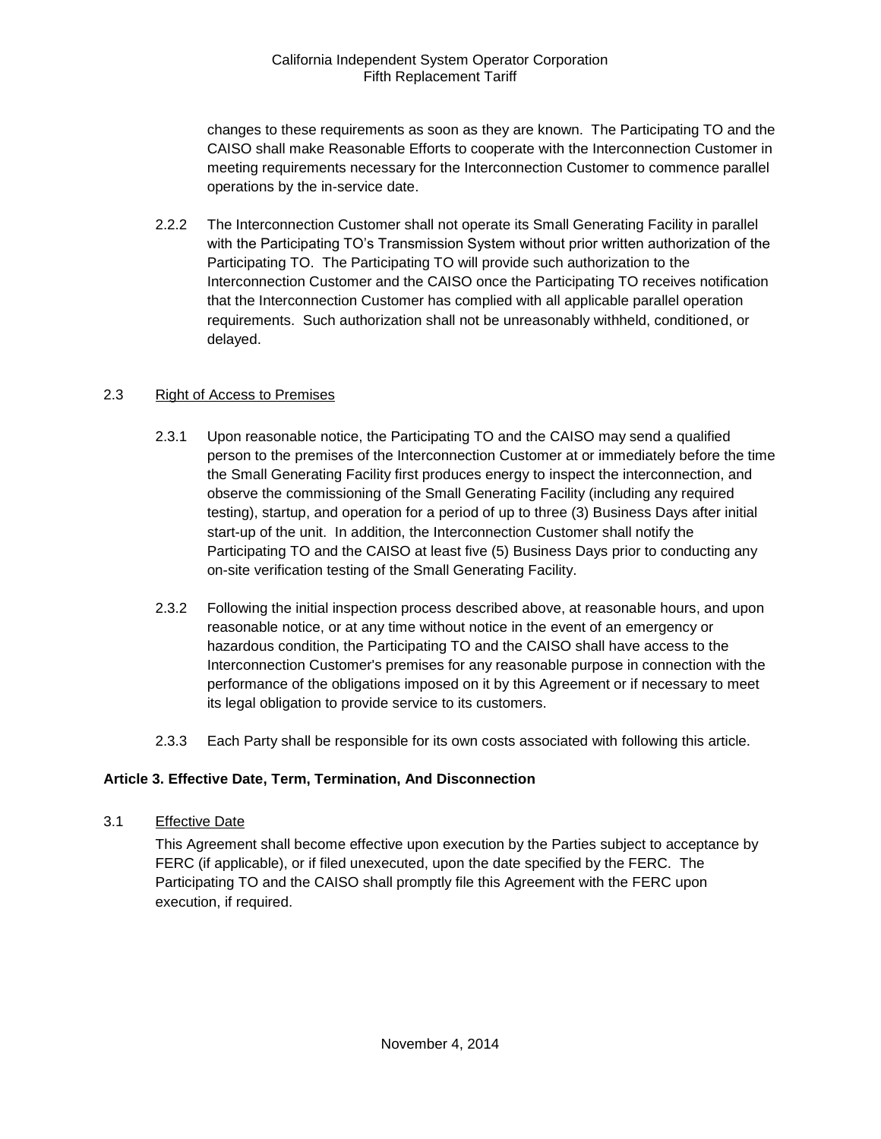changes to these requirements as soon as they are known. The Participating TO and the CAISO shall make Reasonable Efforts to cooperate with the Interconnection Customer in meeting requirements necessary for the Interconnection Customer to commence parallel operations by the in-service date.

2.2.2 The Interconnection Customer shall not operate its Small Generating Facility in parallel with the Participating TO's Transmission System without prior written authorization of the Participating TO. The Participating TO will provide such authorization to the Interconnection Customer and the CAISO once the Participating TO receives notification that the Interconnection Customer has complied with all applicable parallel operation requirements. Such authorization shall not be unreasonably withheld, conditioned, or delayed.

# <span id="page-7-0"></span>2.3 Right of Access to Premises

- 2.3.1 Upon reasonable notice, the Participating TO and the CAISO may send a qualified person to the premises of the Interconnection Customer at or immediately before the time the Small Generating Facility first produces energy to inspect the interconnection, and observe the commissioning of the Small Generating Facility (including any required testing), startup, and operation for a period of up to three (3) Business Days after initial start-up of the unit. In addition, the Interconnection Customer shall notify the Participating TO and the CAISO at least five (5) Business Days prior to conducting any on-site verification testing of the Small Generating Facility.
- 2.3.2 Following the initial inspection process described above, at reasonable hours, and upon reasonable notice, or at any time without notice in the event of an emergency or hazardous condition, the Participating TO and the CAISO shall have access to the Interconnection Customer's premises for any reasonable purpose in connection with the performance of the obligations imposed on it by this Agreement or if necessary to meet its legal obligation to provide service to its customers.
- 2.3.3 Each Party shall be responsible for its own costs associated with following this article.

# <span id="page-7-1"></span>**Article 3. Effective Date, Term, Termination, And Disconnection**

<span id="page-7-2"></span>3.1 Effective Date

This Agreement shall become effective upon execution by the Parties subject to acceptance by FERC (if applicable), or if filed unexecuted, upon the date specified by the FERC. The Participating TO and the CAISO shall promptly file this Agreement with the FERC upon execution, if required.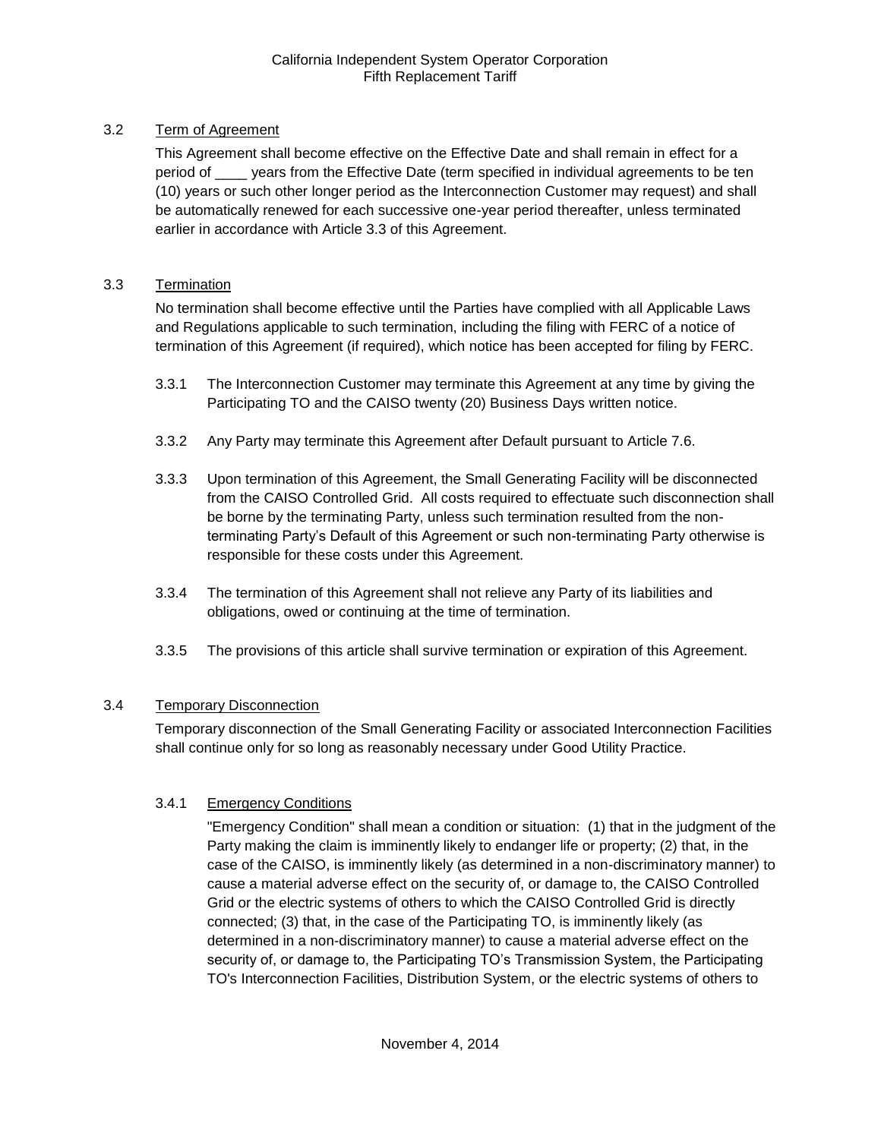# <span id="page-8-0"></span>3.2 Term of Agreement

This Agreement shall become effective on the Effective Date and shall remain in effect for a period of \_\_\_\_ years from the Effective Date (term specified in individual agreements to be ten (10) years or such other longer period as the Interconnection Customer may request) and shall be automatically renewed for each successive one-year period thereafter, unless terminated earlier in accordance with Article 3.3 of this Agreement.

# <span id="page-8-1"></span>3.3 Termination

No termination shall become effective until the Parties have complied with all Applicable Laws and Regulations applicable to such termination, including the filing with FERC of a notice of termination of this Agreement (if required), which notice has been accepted for filing by FERC.

- 3.3.1 The Interconnection Customer may terminate this Agreement at any time by giving the Participating TO and the CAISO twenty (20) Business Days written notice.
- 3.3.2 Any Party may terminate this Agreement after Default pursuant to Article 7.6.
- 3.3.3 Upon termination of this Agreement, the Small Generating Facility will be disconnected from the CAISO Controlled Grid. All costs required to effectuate such disconnection shall be borne by the terminating Party, unless such termination resulted from the nonterminating Party's Default of this Agreement or such non-terminating Party otherwise is responsible for these costs under this Agreement.
- 3.3.4 The termination of this Agreement shall not relieve any Party of its liabilities and obligations, owed or continuing at the time of termination.
- 3.3.5 The provisions of this article shall survive termination or expiration of this Agreement.

# <span id="page-8-2"></span>3.4 Temporary Disconnection

Temporary disconnection of the Small Generating Facility or associated Interconnection Facilities shall continue only for so long as reasonably necessary under Good Utility Practice.

# 3.4.1 Emergency Conditions

"Emergency Condition" shall mean a condition or situation: (1) that in the judgment of the Party making the claim is imminently likely to endanger life or property; (2) that, in the case of the CAISO, is imminently likely (as determined in a non-discriminatory manner) to cause a material adverse effect on the security of, or damage to, the CAISO Controlled Grid or the electric systems of others to which the CAISO Controlled Grid is directly connected; (3) that, in the case of the Participating TO, is imminently likely (as determined in a non-discriminatory manner) to cause a material adverse effect on the security of, or damage to, the Participating TO's Transmission System, the Participating TO's Interconnection Facilities, Distribution System, or the electric systems of others to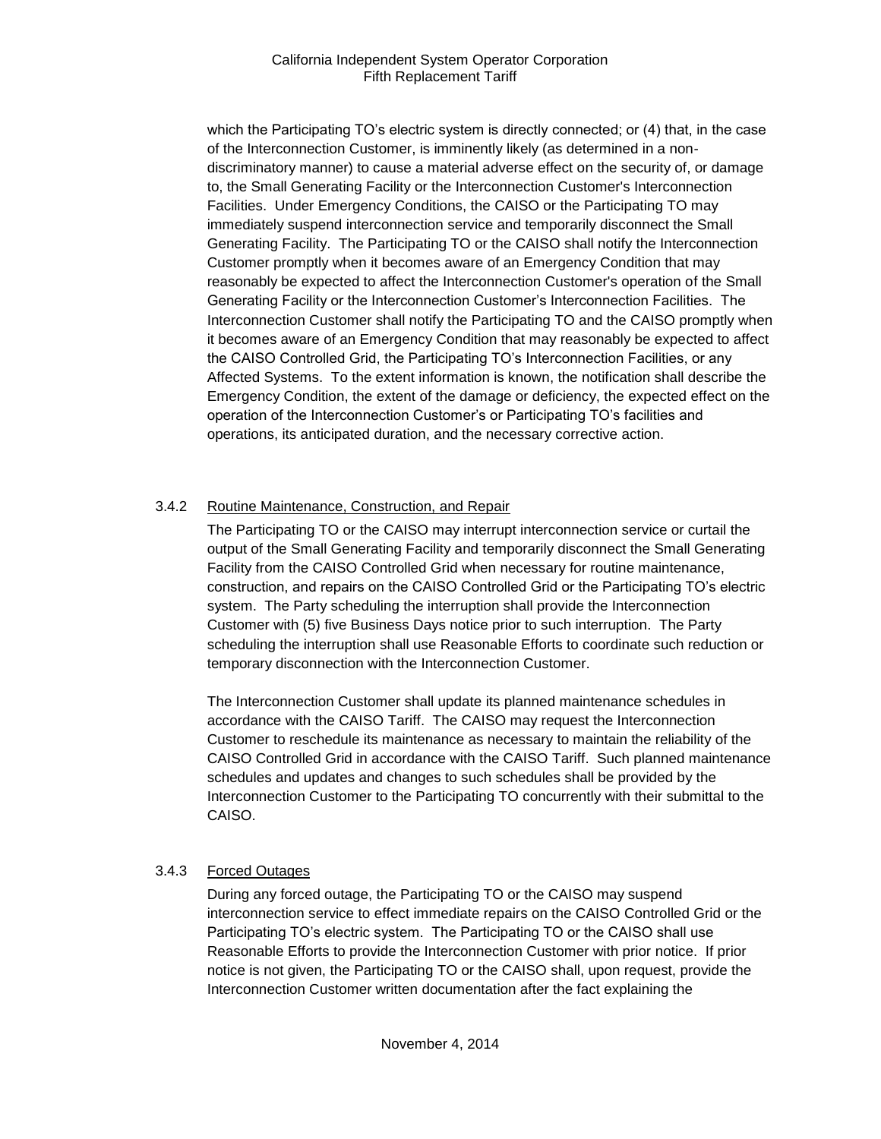which the Participating TO's electric system is directly connected; or (4) that, in the case of the Interconnection Customer, is imminently likely (as determined in a nondiscriminatory manner) to cause a material adverse effect on the security of, or damage to, the Small Generating Facility or the Interconnection Customer's Interconnection Facilities. Under Emergency Conditions, the CAISO or the Participating TO may immediately suspend interconnection service and temporarily disconnect the Small Generating Facility. The Participating TO or the CAISO shall notify the Interconnection Customer promptly when it becomes aware of an Emergency Condition that may reasonably be expected to affect the Interconnection Customer's operation of the Small Generating Facility or the Interconnection Customer's Interconnection Facilities. The Interconnection Customer shall notify the Participating TO and the CAISO promptly when it becomes aware of an Emergency Condition that may reasonably be expected to affect the CAISO Controlled Grid, the Participating TO's Interconnection Facilities, or any Affected Systems. To the extent information is known, the notification shall describe the Emergency Condition, the extent of the damage or deficiency, the expected effect on the operation of the Interconnection Customer's or Participating TO's facilities and operations, its anticipated duration, and the necessary corrective action.

# 3.4.2 Routine Maintenance, Construction, and Repair

The Participating TO or the CAISO may interrupt interconnection service or curtail the output of the Small Generating Facility and temporarily disconnect the Small Generating Facility from the CAISO Controlled Grid when necessary for routine maintenance, construction, and repairs on the CAISO Controlled Grid or the Participating TO's electric system. The Party scheduling the interruption shall provide the Interconnection Customer with (5) five Business Days notice prior to such interruption. The Party scheduling the interruption shall use Reasonable Efforts to coordinate such reduction or temporary disconnection with the Interconnection Customer.

The Interconnection Customer shall update its planned maintenance schedules in accordance with the CAISO Tariff. The CAISO may request the Interconnection Customer to reschedule its maintenance as necessary to maintain the reliability of the CAISO Controlled Grid in accordance with the CAISO Tariff. Such planned maintenance schedules and updates and changes to such schedules shall be provided by the Interconnection Customer to the Participating TO concurrently with their submittal to the CAISO.

#### 3.4.3 Forced Outages

During any forced outage, the Participating TO or the CAISO may suspend interconnection service to effect immediate repairs on the CAISO Controlled Grid or the Participating TO's electric system. The Participating TO or the CAISO shall use Reasonable Efforts to provide the Interconnection Customer with prior notice. If prior notice is not given, the Participating TO or the CAISO shall, upon request, provide the Interconnection Customer written documentation after the fact explaining the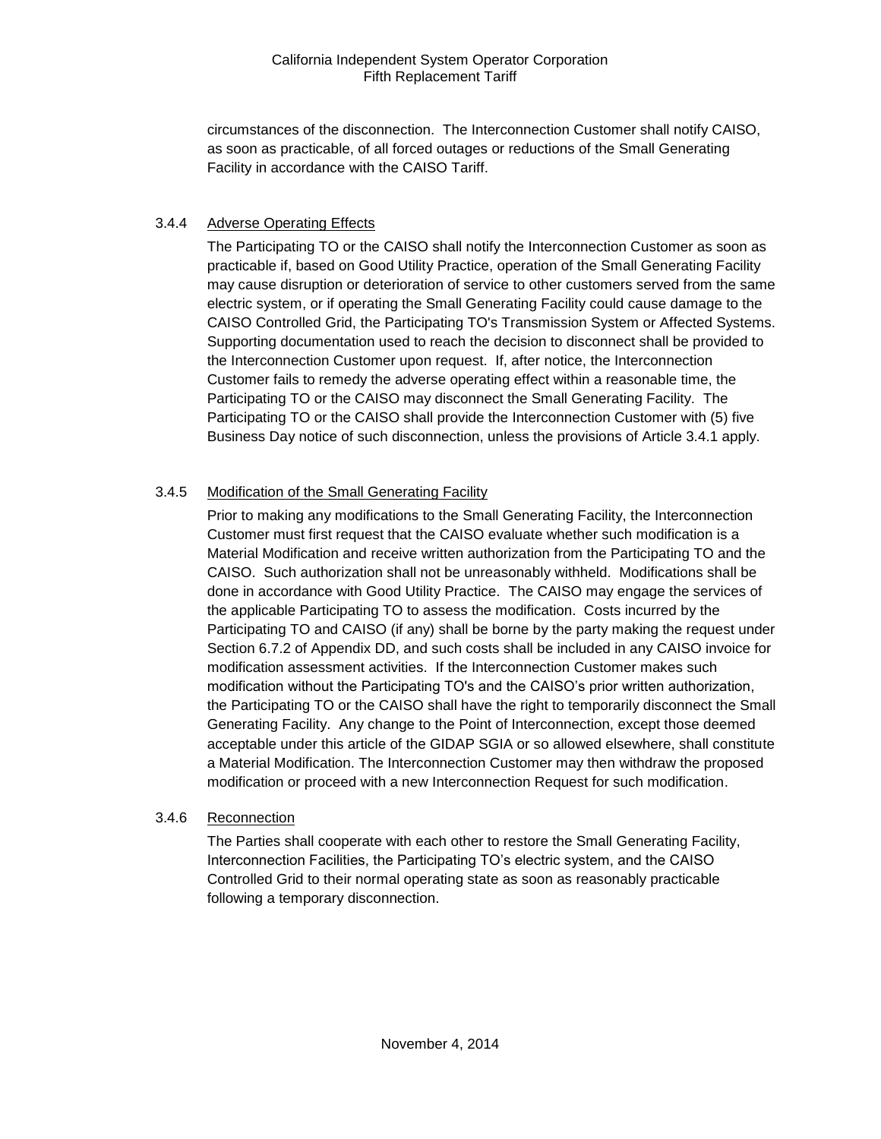circumstances of the disconnection. The Interconnection Customer shall notify CAISO, as soon as practicable, of all forced outages or reductions of the Small Generating Facility in accordance with the CAISO Tariff.

# 3.4.4 Adverse Operating Effects

The Participating TO or the CAISO shall notify the Interconnection Customer as soon as practicable if, based on Good Utility Practice, operation of the Small Generating Facility may cause disruption or deterioration of service to other customers served from the same electric system, or if operating the Small Generating Facility could cause damage to the CAISO Controlled Grid, the Participating TO's Transmission System or Affected Systems. Supporting documentation used to reach the decision to disconnect shall be provided to the Interconnection Customer upon request. If, after notice, the Interconnection Customer fails to remedy the adverse operating effect within a reasonable time, the Participating TO or the CAISO may disconnect the Small Generating Facility. The Participating TO or the CAISO shall provide the Interconnection Customer with (5) five Business Day notice of such disconnection, unless the provisions of Article 3.4.1 apply.

# 3.4.5 Modification of the Small Generating Facility

Prior to making any modifications to the Small Generating Facility, the Interconnection Customer must first request that the CAISO evaluate whether such modification is a Material Modification and receive written authorization from the Participating TO and the CAISO. Such authorization shall not be unreasonably withheld. Modifications shall be done in accordance with Good Utility Practice. The CAISO may engage the services of the applicable Participating TO to assess the modification. Costs incurred by the Participating TO and CAISO (if any) shall be borne by the party making the request under Section 6.7.2 of Appendix DD, and such costs shall be included in any CAISO invoice for modification assessment activities. If the Interconnection Customer makes such modification without the Participating TO's and the CAISO's prior written authorization, the Participating TO or the CAISO shall have the right to temporarily disconnect the Small Generating Facility. Any change to the Point of Interconnection, except those deemed acceptable under this article of the GIDAP SGIA or so allowed elsewhere, shall constitute a Material Modification. The Interconnection Customer may then withdraw the proposed modification or proceed with a new Interconnection Request for such modification.

#### 3.4.6 Reconnection

The Parties shall cooperate with each other to restore the Small Generating Facility, Interconnection Facilities, the Participating TO's electric system, and the CAISO Controlled Grid to their normal operating state as soon as reasonably practicable following a temporary disconnection.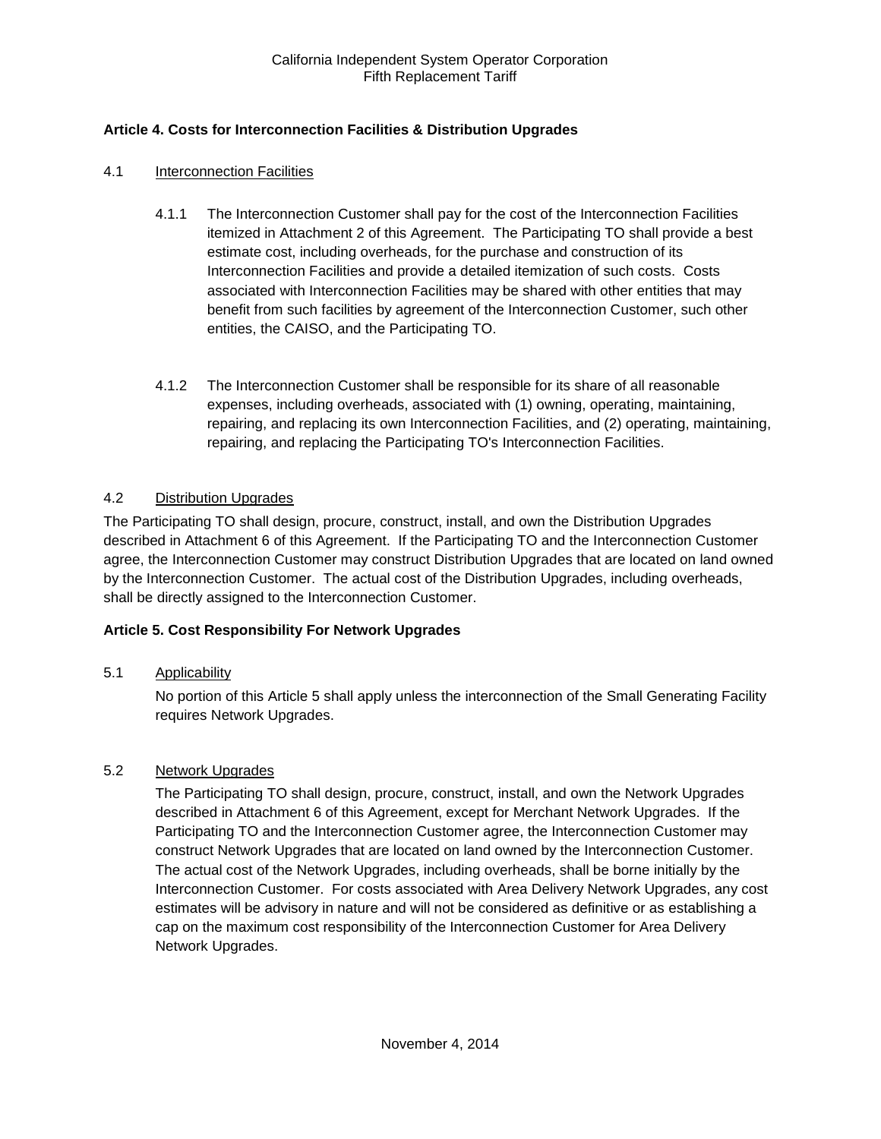# <span id="page-11-0"></span>**Article 4. Costs for Interconnection Facilities & Distribution Upgrades**

#### <span id="page-11-1"></span>4.1 Interconnection Facilities

- 4.1.1 The Interconnection Customer shall pay for the cost of the Interconnection Facilities itemized in Attachment 2 of this Agreement. The Participating TO shall provide a best estimate cost, including overheads, for the purchase and construction of its Interconnection Facilities and provide a detailed itemization of such costs. Costs associated with Interconnection Facilities may be shared with other entities that may benefit from such facilities by agreement of the Interconnection Customer, such other entities, the CAISO, and the Participating TO.
- 4.1.2 The Interconnection Customer shall be responsible for its share of all reasonable expenses, including overheads, associated with (1) owning, operating, maintaining, repairing, and replacing its own Interconnection Facilities, and (2) operating, maintaining, repairing, and replacing the Participating TO's Interconnection Facilities.

#### <span id="page-11-2"></span>4.2 Distribution Upgrades

The Participating TO shall design, procure, construct, install, and own the Distribution Upgrades described in Attachment 6 of this Agreement. If the Participating TO and the Interconnection Customer agree, the Interconnection Customer may construct Distribution Upgrades that are located on land owned by the Interconnection Customer. The actual cost of the Distribution Upgrades, including overheads, shall be directly assigned to the Interconnection Customer.

#### <span id="page-11-3"></span>**Article 5. Cost Responsibility For Network Upgrades**

#### <span id="page-11-4"></span>5.1 Applicability

No portion of this Article 5 shall apply unless the interconnection of the Small Generating Facility requires Network Upgrades.

#### <span id="page-11-5"></span>5.2 Network Upgrades

The Participating TO shall design, procure, construct, install, and own the Network Upgrades described in Attachment 6 of this Agreement, except for Merchant Network Upgrades. If the Participating TO and the Interconnection Customer agree, the Interconnection Customer may construct Network Upgrades that are located on land owned by the Interconnection Customer. The actual cost of the Network Upgrades, including overheads, shall be borne initially by the Interconnection Customer. For costs associated with Area Delivery Network Upgrades, any cost estimates will be advisory in nature and will not be considered as definitive or as establishing a cap on the maximum cost responsibility of the Interconnection Customer for Area Delivery Network Upgrades.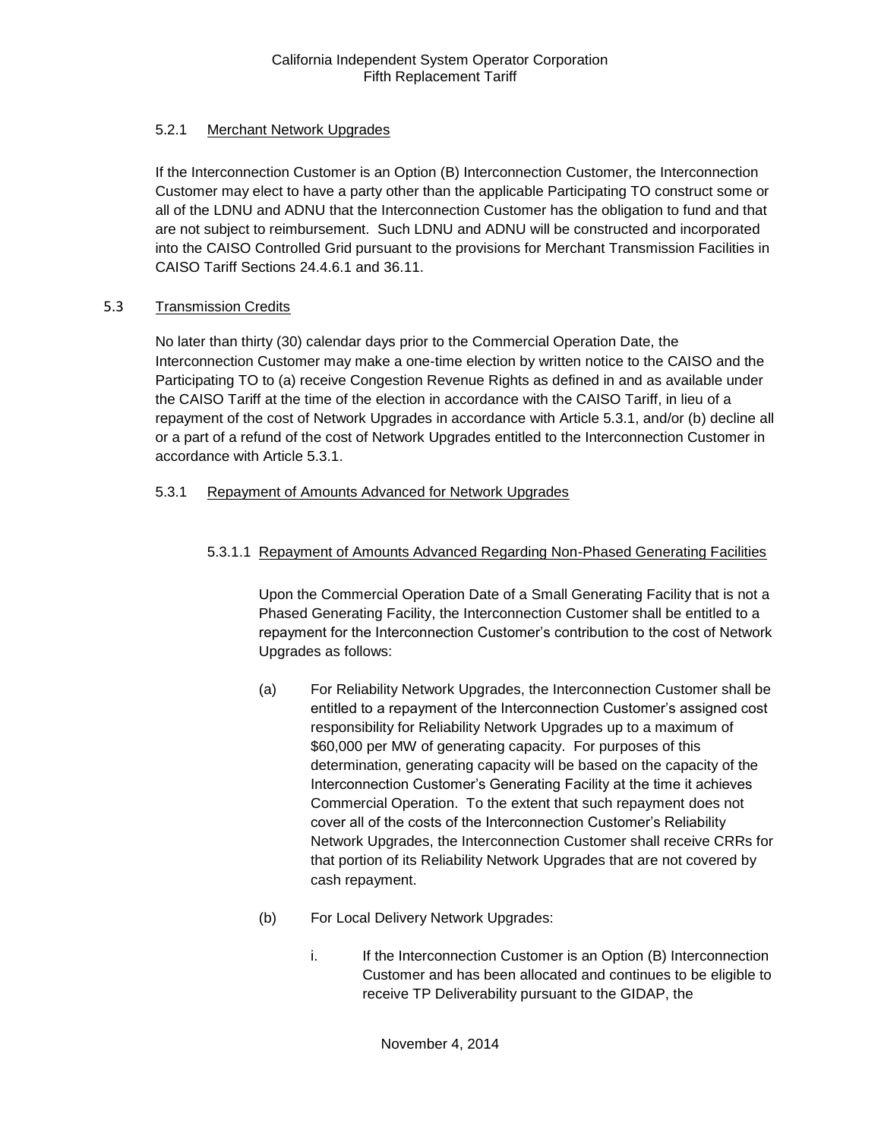# 5.2.1 Merchant Network Upgrades

If the Interconnection Customer is an Option (B) Interconnection Customer, the Interconnection Customer may elect to have a party other than the applicable Participating TO construct some or all of the LDNU and ADNU that the Interconnection Customer has the obligation to fund and that are not subject to reimbursement. Such LDNU and ADNU will be constructed and incorporated into the CAISO Controlled Grid pursuant to the provisions for Merchant Transmission Facilities in CAISO Tariff Sections 24.4.6.1 and 36.11.

# 5.3 Transmission Credits

No later than thirty (30) calendar days prior to the Commercial Operation Date, the Interconnection Customer may make a one-time election by written notice to the CAISO and the Participating TO to (a) receive Congestion Revenue Rights as defined in and as available under the CAISO Tariff at the time of the election in accordance with the CAISO Tariff, in lieu of a repayment of the cost of Network Upgrades in accordance with Article 5.3.1, and/or (b) decline all or a part of a refund of the cost of Network Upgrades entitled to the Interconnection Customer in accordance with Article 5.3.1.

# 5.3.1 Repayment of Amounts Advanced for Network Upgrades

# 5.3.1.1 Repayment of Amounts Advanced Regarding Non-Phased Generating Facilities

Upon the Commercial Operation Date of a Small Generating Facility that is not a Phased Generating Facility, the Interconnection Customer shall be entitled to a repayment for the Interconnection Customer's contribution to the cost of Network Upgrades as follows:

- (a) For Reliability Network Upgrades, the Interconnection Customer shall be entitled to a repayment of the Interconnection Customer's assigned cost responsibility for Reliability Network Upgrades up to a maximum of \$60,000 per MW of generating capacity. For purposes of this determination, generating capacity will be based on the capacity of the Interconnection Customer's Generating Facility at the time it achieves Commercial Operation. To the extent that such repayment does not cover all of the costs of the Interconnection Customer's Reliability Network Upgrades, the Interconnection Customer shall receive CRRs for that portion of its Reliability Network Upgrades that are not covered by cash repayment.
- (b) For Local Delivery Network Upgrades:
	- i. If the Interconnection Customer is an Option (B) Interconnection Customer and has been allocated and continues to be eligible to receive TP Deliverability pursuant to the GIDAP, the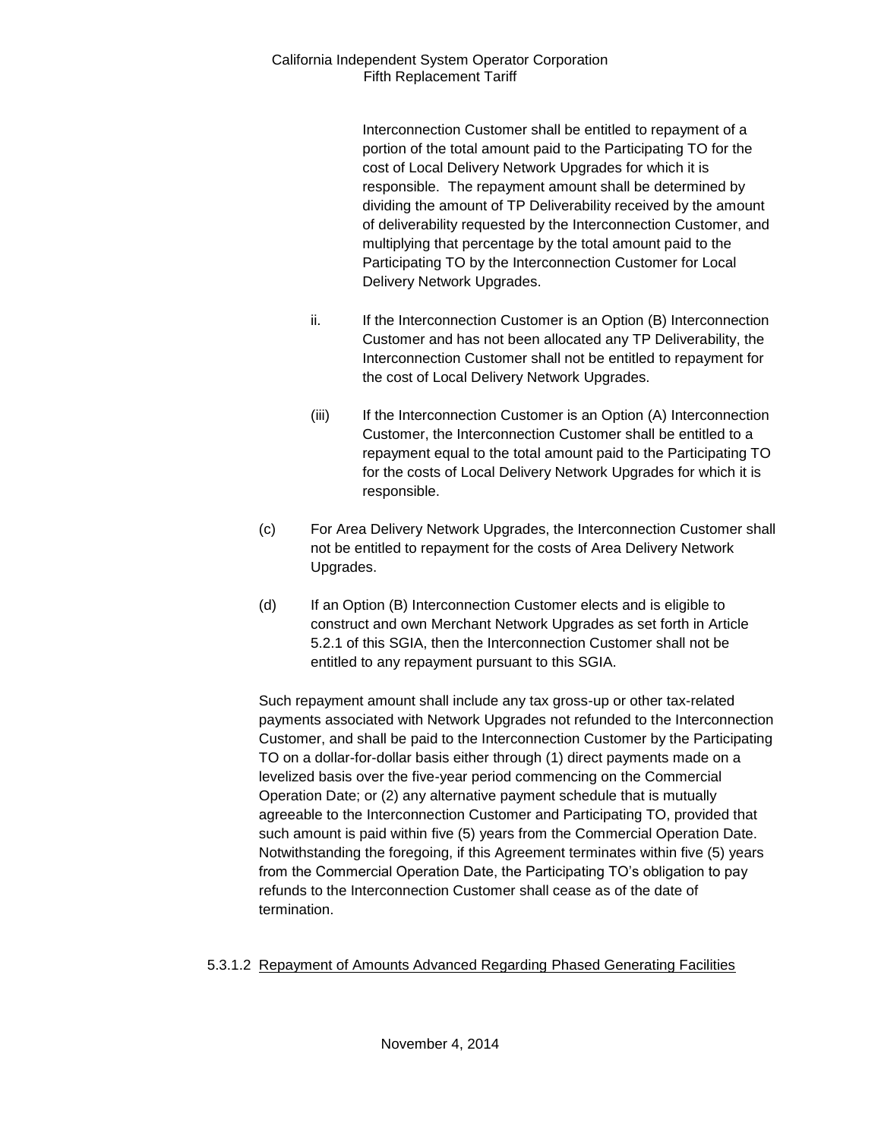Interconnection Customer shall be entitled to repayment of a portion of the total amount paid to the Participating TO for the cost of Local Delivery Network Upgrades for which it is responsible. The repayment amount shall be determined by dividing the amount of TP Deliverability received by the amount of deliverability requested by the Interconnection Customer, and multiplying that percentage by the total amount paid to the Participating TO by the Interconnection Customer for Local Delivery Network Upgrades.

- ii. If the Interconnection Customer is an Option (B) Interconnection Customer and has not been allocated any TP Deliverability, the Interconnection Customer shall not be entitled to repayment for the cost of Local Delivery Network Upgrades.
- (iii) If the Interconnection Customer is an Option (A) Interconnection Customer, the Interconnection Customer shall be entitled to a repayment equal to the total amount paid to the Participating TO for the costs of Local Delivery Network Upgrades for which it is responsible.
- (c) For Area Delivery Network Upgrades, the Interconnection Customer shall not be entitled to repayment for the costs of Area Delivery Network Upgrades.
- (d) If an Option (B) Interconnection Customer elects and is eligible to construct and own Merchant Network Upgrades as set forth in Article 5.2.1 of this SGIA, then the Interconnection Customer shall not be entitled to any repayment pursuant to this SGIA.

Such repayment amount shall include any tax gross-up or other tax-related payments associated with Network Upgrades not refunded to the Interconnection Customer, and shall be paid to the Interconnection Customer by the Participating TO on a dollar-for-dollar basis either through (1) direct payments made on a levelized basis over the five-year period commencing on the Commercial Operation Date; or (2) any alternative payment schedule that is mutually agreeable to the Interconnection Customer and Participating TO, provided that such amount is paid within five (5) years from the Commercial Operation Date. Notwithstanding the foregoing, if this Agreement terminates within five (5) years from the Commercial Operation Date, the Participating TO's obligation to pay refunds to the Interconnection Customer shall cease as of the date of termination.

# 5.3.1.2 Repayment of Amounts Advanced Regarding Phased Generating Facilities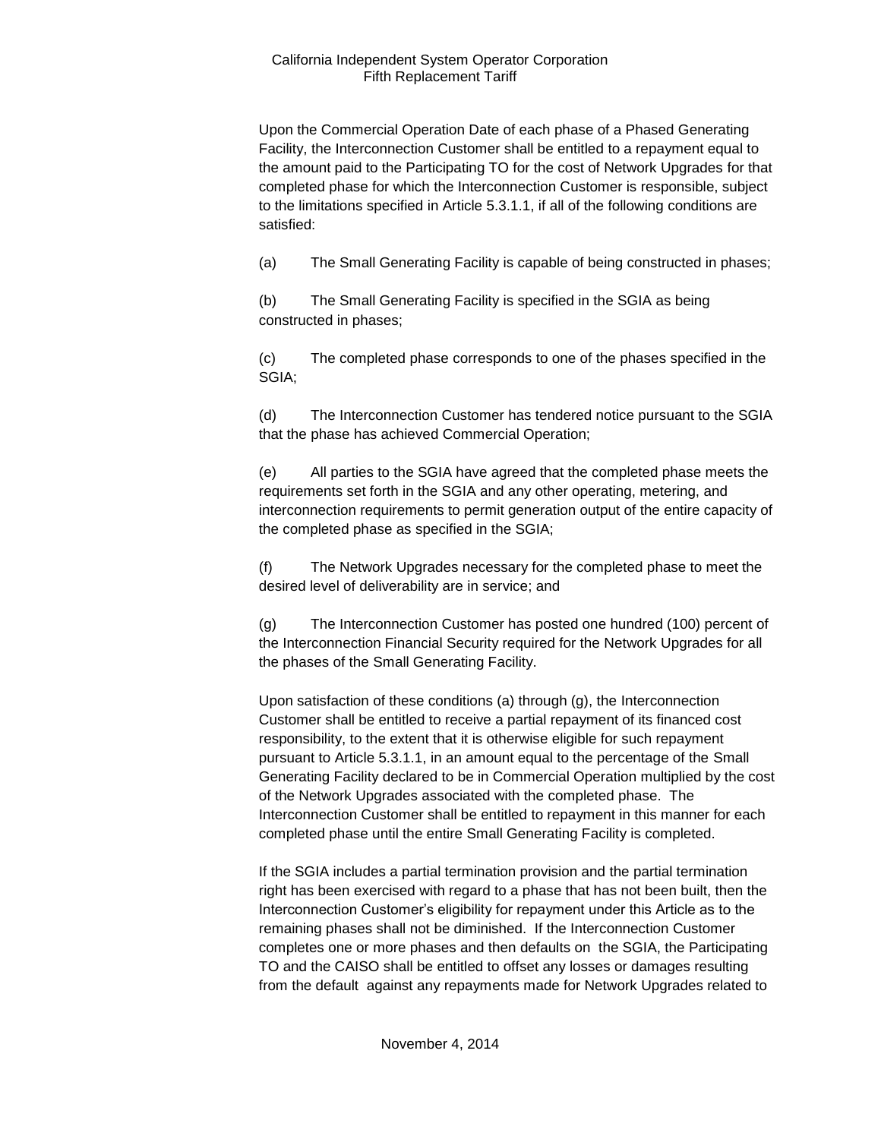Upon the Commercial Operation Date of each phase of a Phased Generating Facility, the Interconnection Customer shall be entitled to a repayment equal to the amount paid to the Participating TO for the cost of Network Upgrades for that completed phase for which the Interconnection Customer is responsible, subject to the limitations specified in Article 5.3.1.1, if all of the following conditions are satisfied:

(a) The Small Generating Facility is capable of being constructed in phases;

(b) The Small Generating Facility is specified in the SGIA as being constructed in phases;

(c) The completed phase corresponds to one of the phases specified in the SGIA;

(d) The Interconnection Customer has tendered notice pursuant to the SGIA that the phase has achieved Commercial Operation;

(e) All parties to the SGIA have agreed that the completed phase meets the requirements set forth in the SGIA and any other operating, metering, and interconnection requirements to permit generation output of the entire capacity of the completed phase as specified in the SGIA;

(f) The Network Upgrades necessary for the completed phase to meet the desired level of deliverability are in service; and

(g) The Interconnection Customer has posted one hundred (100) percent of the Interconnection Financial Security required for the Network Upgrades for all the phases of the Small Generating Facility.

Upon satisfaction of these conditions (a) through (g), the Interconnection Customer shall be entitled to receive a partial repayment of its financed cost responsibility, to the extent that it is otherwise eligible for such repayment pursuant to Article 5.3.1.1, in an amount equal to the percentage of the Small Generating Facility declared to be in Commercial Operation multiplied by the cost of the Network Upgrades associated with the completed phase. The Interconnection Customer shall be entitled to repayment in this manner for each completed phase until the entire Small Generating Facility is completed.

If the SGIA includes a partial termination provision and the partial termination right has been exercised with regard to a phase that has not been built, then the Interconnection Customer's eligibility for repayment under this Article as to the remaining phases shall not be diminished. If the Interconnection Customer completes one or more phases and then defaults on the SGIA, the Participating TO and the CAISO shall be entitled to offset any losses or damages resulting from the default against any repayments made for Network Upgrades related to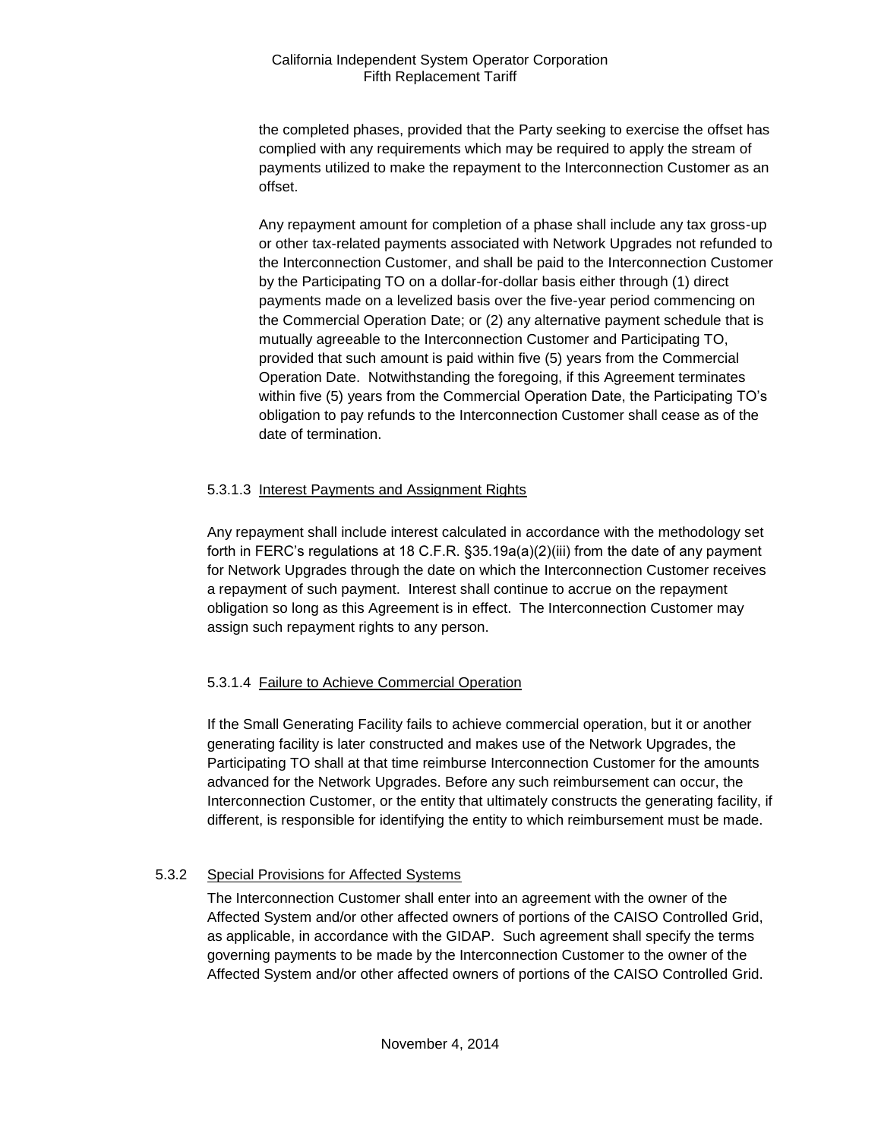the completed phases, provided that the Party seeking to exercise the offset has complied with any requirements which may be required to apply the stream of payments utilized to make the repayment to the Interconnection Customer as an offset.

Any repayment amount for completion of a phase shall include any tax gross-up or other tax-related payments associated with Network Upgrades not refunded to the Interconnection Customer, and shall be paid to the Interconnection Customer by the Participating TO on a dollar-for-dollar basis either through (1) direct payments made on a levelized basis over the five-year period commencing on the Commercial Operation Date; or (2) any alternative payment schedule that is mutually agreeable to the Interconnection Customer and Participating TO, provided that such amount is paid within five (5) years from the Commercial Operation Date. Notwithstanding the foregoing, if this Agreement terminates within five (5) years from the Commercial Operation Date, the Participating TO's obligation to pay refunds to the Interconnection Customer shall cease as of the date of termination.

# 5.3.1.3 Interest Payments and Assignment Rights

Any repayment shall include interest calculated in accordance with the methodology set forth in FERC's regulations at 18 C.F.R. §35.19a(a)(2)(iii) from the date of any payment for Network Upgrades through the date on which the Interconnection Customer receives a repayment of such payment. Interest shall continue to accrue on the repayment obligation so long as this Agreement is in effect. The Interconnection Customer may assign such repayment rights to any person.

# 5.3.1.4 Failure to Achieve Commercial Operation

If the Small Generating Facility fails to achieve commercial operation, but it or another generating facility is later constructed and makes use of the Network Upgrades, the Participating TO shall at that time reimburse Interconnection Customer for the amounts advanced for the Network Upgrades. Before any such reimbursement can occur, the Interconnection Customer, or the entity that ultimately constructs the generating facility, if different, is responsible for identifying the entity to which reimbursement must be made.

# 5.3.2 Special Provisions for Affected Systems

The Interconnection Customer shall enter into an agreement with the owner of the Affected System and/or other affected owners of portions of the CAISO Controlled Grid, as applicable, in accordance with the GIDAP. Such agreement shall specify the terms governing payments to be made by the Interconnection Customer to the owner of the Affected System and/or other affected owners of portions of the CAISO Controlled Grid.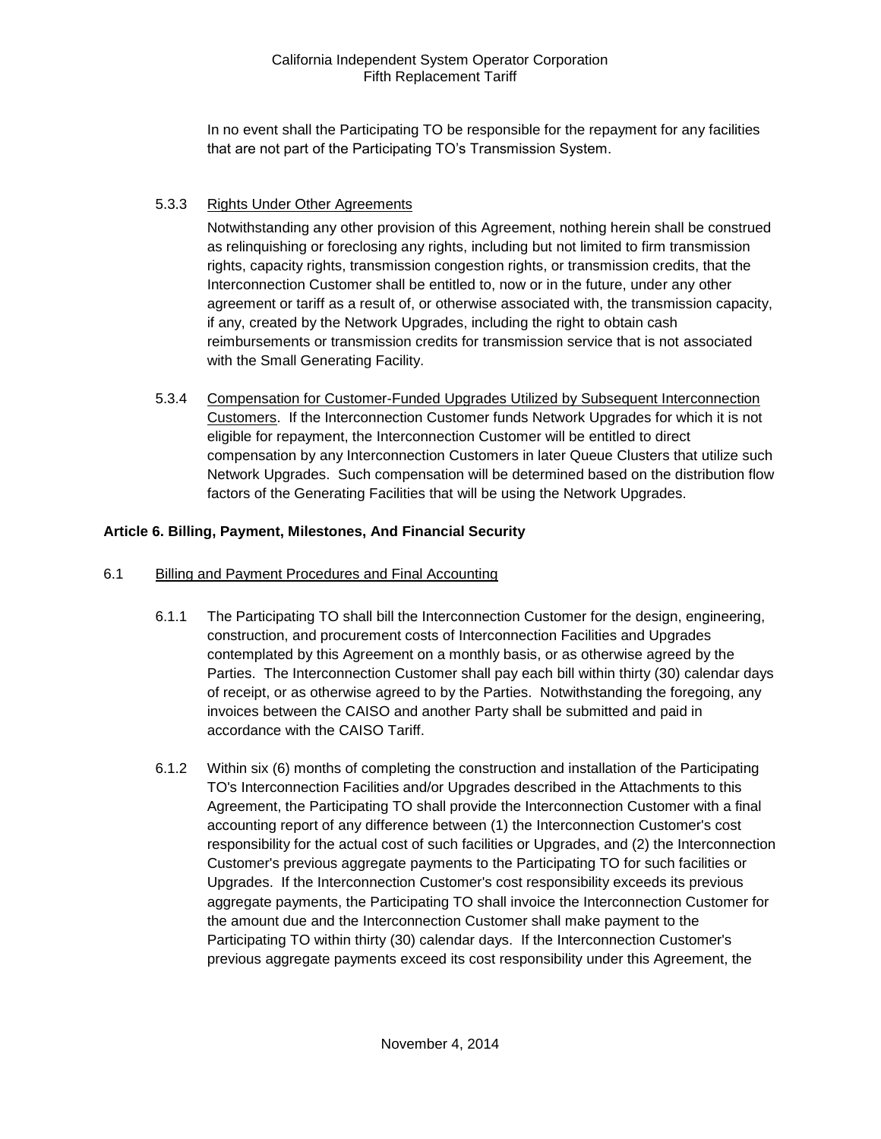In no event shall the Participating TO be responsible for the repayment for any facilities that are not part of the Participating TO's Transmission System.

# 5.3.3 Rights Under Other Agreements

Notwithstanding any other provision of this Agreement, nothing herein shall be construed as relinquishing or foreclosing any rights, including but not limited to firm transmission rights, capacity rights, transmission congestion rights, or transmission credits, that the Interconnection Customer shall be entitled to, now or in the future, under any other agreement or tariff as a result of, or otherwise associated with, the transmission capacity, if any, created by the Network Upgrades, including the right to obtain cash reimbursements or transmission credits for transmission service that is not associated with the Small Generating Facility.

5.3.4 Compensation for Customer-Funded Upgrades Utilized by Subsequent Interconnection Customers. If the Interconnection Customer funds Network Upgrades for which it is not eligible for repayment, the Interconnection Customer will be entitled to direct compensation by any Interconnection Customers in later Queue Clusters that utilize such Network Upgrades. Such compensation will be determined based on the distribution flow factors of the Generating Facilities that will be using the Network Upgrades.

# <span id="page-16-0"></span>**Article 6. Billing, Payment, Milestones, And Financial Security**

#### <span id="page-16-1"></span>6.1 Billing and Payment Procedures and Final Accounting

- 6.1.1 The Participating TO shall bill the Interconnection Customer for the design, engineering, construction, and procurement costs of Interconnection Facilities and Upgrades contemplated by this Agreement on a monthly basis, or as otherwise agreed by the Parties. The Interconnection Customer shall pay each bill within thirty (30) calendar days of receipt, or as otherwise agreed to by the Parties. Notwithstanding the foregoing, any invoices between the CAISO and another Party shall be submitted and paid in accordance with the CAISO Tariff.
- 6.1.2 Within six (6) months of completing the construction and installation of the Participating TO's Interconnection Facilities and/or Upgrades described in the Attachments to this Agreement, the Participating TO shall provide the Interconnection Customer with a final accounting report of any difference between (1) the Interconnection Customer's cost responsibility for the actual cost of such facilities or Upgrades, and (2) the Interconnection Customer's previous aggregate payments to the Participating TO for such facilities or Upgrades. If the Interconnection Customer's cost responsibility exceeds its previous aggregate payments, the Participating TO shall invoice the Interconnection Customer for the amount due and the Interconnection Customer shall make payment to the Participating TO within thirty (30) calendar days. If the Interconnection Customer's previous aggregate payments exceed its cost responsibility under this Agreement, the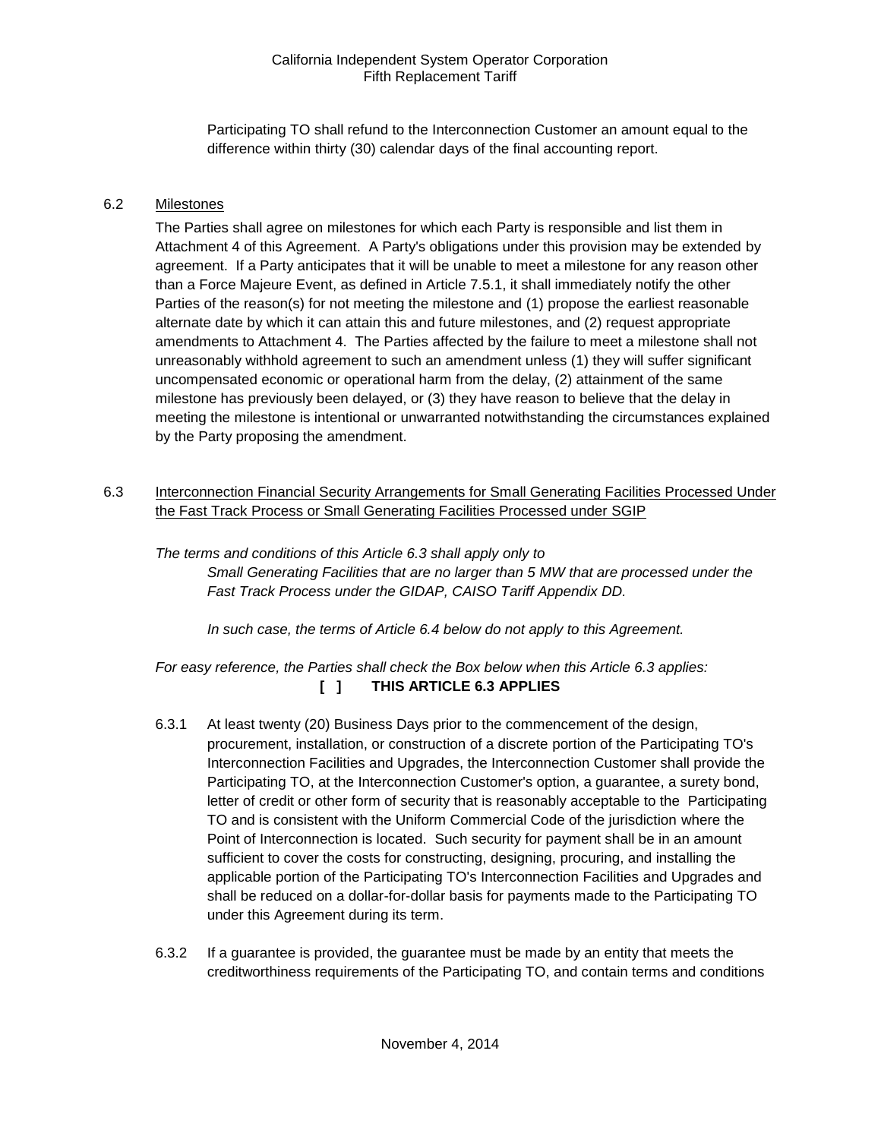Participating TO shall refund to the Interconnection Customer an amount equal to the difference within thirty (30) calendar days of the final accounting report.

#### <span id="page-17-0"></span>6.2 Milestones

The Parties shall agree on milestones for which each Party is responsible and list them in Attachment 4 of this Agreement. A Party's obligations under this provision may be extended by agreement. If a Party anticipates that it will be unable to meet a milestone for any reason other than a Force Majeure Event, as defined in Article 7.5.1, it shall immediately notify the other Parties of the reason(s) for not meeting the milestone and (1) propose the earliest reasonable alternate date by which it can attain this and future milestones, and (2) request appropriate amendments to Attachment 4. The Parties affected by the failure to meet a milestone shall not unreasonably withhold agreement to such an amendment unless (1) they will suffer significant uncompensated economic or operational harm from the delay, (2) attainment of the same milestone has previously been delayed, or (3) they have reason to believe that the delay in meeting the milestone is intentional or unwarranted notwithstanding the circumstances explained by the Party proposing the amendment.

<span id="page-17-1"></span>6.3 Interconnection Financial Security Arrangements for Small Generating Facilities Processed Under the Fast Track Process or Small Generating Facilities Processed under SGIP

*The terms and conditions of this Article 6.3 shall apply only to Small Generating Facilities that are no larger than 5 MW that are processed under the Fast Track Process under the GIDAP, CAISO Tariff Appendix DD.*

*In such case, the terms of Article 6.4 below do not apply to this Agreement.*

*For easy reference, the Parties shall check the Box below when this Article 6.3 applies:*  **[ ] THIS ARTICLE 6.3 APPLIES**

- 6.3.1 At least twenty (20) Business Days prior to the commencement of the design, procurement, installation, or construction of a discrete portion of the Participating TO's Interconnection Facilities and Upgrades, the Interconnection Customer shall provide the Participating TO, at the Interconnection Customer's option, a guarantee, a surety bond, letter of credit or other form of security that is reasonably acceptable to the Participating TO and is consistent with the Uniform Commercial Code of the jurisdiction where the Point of Interconnection is located. Such security for payment shall be in an amount sufficient to cover the costs for constructing, designing, procuring, and installing the applicable portion of the Participating TO's Interconnection Facilities and Upgrades and shall be reduced on a dollar-for-dollar basis for payments made to the Participating TO under this Agreement during its term.
- 6.3.2 If a guarantee is provided, the guarantee must be made by an entity that meets the creditworthiness requirements of the Participating TO, and contain terms and conditions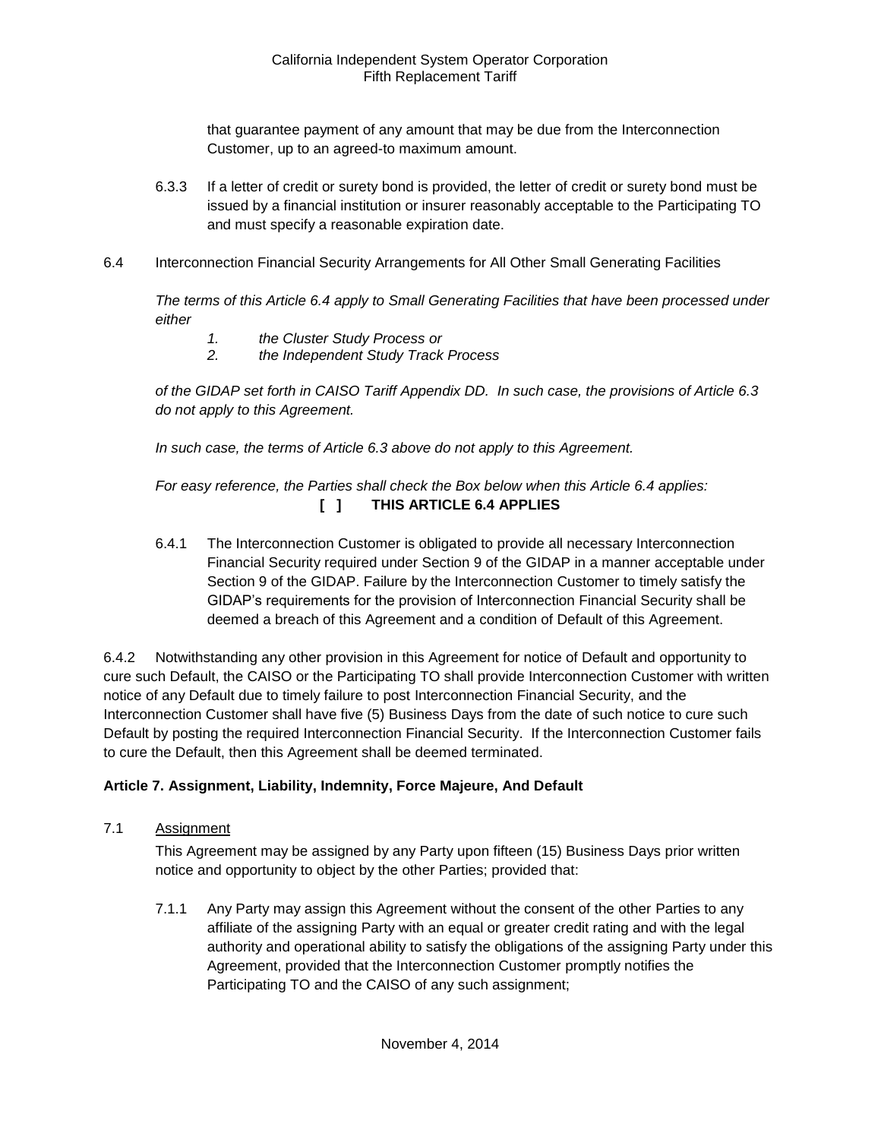that guarantee payment of any amount that may be due from the Interconnection Customer, up to an agreed-to maximum amount.

- 6.3.3 If a letter of credit or surety bond is provided, the letter of credit or surety bond must be issued by a financial institution or insurer reasonably acceptable to the Participating TO and must specify a reasonable expiration date.
- <span id="page-18-0"></span>6.4 Interconnection Financial Security Arrangements for All Other Small Generating Facilities

*The terms of this Article 6.4 apply to Small Generating Facilities that have been processed under either* 

- *1. the Cluster Study Process or*
- *2. the Independent Study Track Process*

*of the GIDAP set forth in CAISO Tariff Appendix DD. In such case, the provisions of Article 6.3 do not apply to this Agreement.*

*In such case, the terms of Article 6.3 above do not apply to this Agreement.* 

# *For easy reference, the Parties shall check the Box below when this Article 6.4 applies:*  **[ ] THIS ARTICLE 6.4 APPLIES**

6.4.1 The Interconnection Customer is obligated to provide all necessary Interconnection Financial Security required under Section 9 of the GIDAP in a manner acceptable under Section 9 of the GIDAP. Failure by the Interconnection Customer to timely satisfy the GIDAP's requirements for the provision of Interconnection Financial Security shall be deemed a breach of this Agreement and a condition of Default of this Agreement.

6.4.2 Notwithstanding any other provision in this Agreement for notice of Default and opportunity to cure such Default, the CAISO or the Participating TO shall provide Interconnection Customer with written notice of any Default due to timely failure to post Interconnection Financial Security, and the Interconnection Customer shall have five (5) Business Days from the date of such notice to cure such Default by posting the required Interconnection Financial Security. If the Interconnection Customer fails to cure the Default, then this Agreement shall be deemed terminated.

#### <span id="page-18-1"></span>**Article 7. Assignment, Liability, Indemnity, Force Majeure, And Default**

<span id="page-18-2"></span>7.1 Assignment

This Agreement may be assigned by any Party upon fifteen (15) Business Days prior written notice and opportunity to object by the other Parties; provided that:

7.1.1 Any Party may assign this Agreement without the consent of the other Parties to any affiliate of the assigning Party with an equal or greater credit rating and with the legal authority and operational ability to satisfy the obligations of the assigning Party under this Agreement, provided that the Interconnection Customer promptly notifies the Participating TO and the CAISO of any such assignment;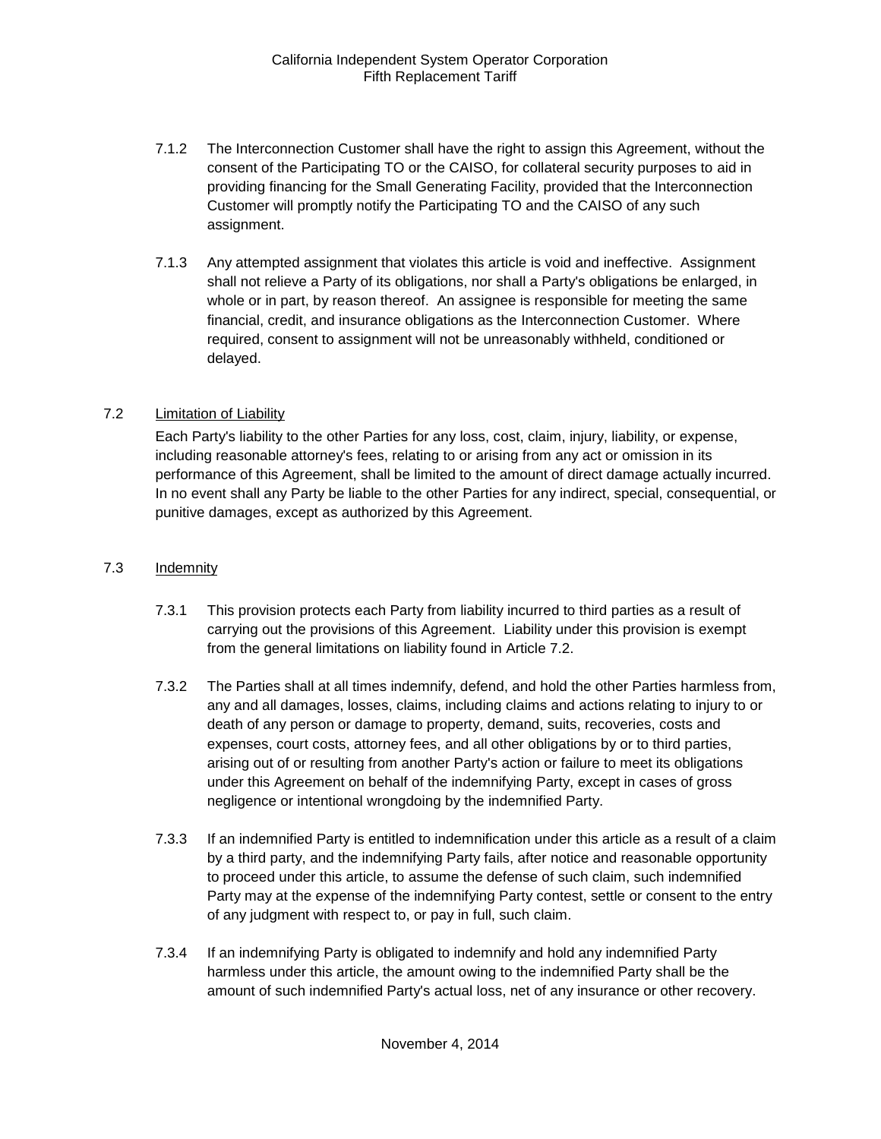- 7.1.2 The Interconnection Customer shall have the right to assign this Agreement, without the consent of the Participating TO or the CAISO, for collateral security purposes to aid in providing financing for the Small Generating Facility, provided that the Interconnection Customer will promptly notify the Participating TO and the CAISO of any such assignment.
- 7.1.3 Any attempted assignment that violates this article is void and ineffective. Assignment shall not relieve a Party of its obligations, nor shall a Party's obligations be enlarged, in whole or in part, by reason thereof. An assignee is responsible for meeting the same financial, credit, and insurance obligations as the Interconnection Customer. Where required, consent to assignment will not be unreasonably withheld, conditioned or delayed.

# <span id="page-19-0"></span>7.2 Limitation of Liability

Each Party's liability to the other Parties for any loss, cost, claim, injury, liability, or expense, including reasonable attorney's fees, relating to or arising from any act or omission in its performance of this Agreement, shall be limited to the amount of direct damage actually incurred. In no event shall any Party be liable to the other Parties for any indirect, special, consequential, or punitive damages, except as authorized by this Agreement.

### <span id="page-19-1"></span>7.3 Indemnity

- 7.3.1 This provision protects each Party from liability incurred to third parties as a result of carrying out the provisions of this Agreement. Liability under this provision is exempt from the general limitations on liability found in Article 7.2.
- 7.3.2 The Parties shall at all times indemnify, defend, and hold the other Parties harmless from, any and all damages, losses, claims, including claims and actions relating to injury to or death of any person or damage to property, demand, suits, recoveries, costs and expenses, court costs, attorney fees, and all other obligations by or to third parties, arising out of or resulting from another Party's action or failure to meet its obligations under this Agreement on behalf of the indemnifying Party, except in cases of gross negligence or intentional wrongdoing by the indemnified Party.
- 7.3.3 If an indemnified Party is entitled to indemnification under this article as a result of a claim by a third party, and the indemnifying Party fails, after notice and reasonable opportunity to proceed under this article, to assume the defense of such claim, such indemnified Party may at the expense of the indemnifying Party contest, settle or consent to the entry of any judgment with respect to, or pay in full, such claim.
- 7.3.4 If an indemnifying Party is obligated to indemnify and hold any indemnified Party harmless under this article, the amount owing to the indemnified Party shall be the amount of such indemnified Party's actual loss, net of any insurance or other recovery.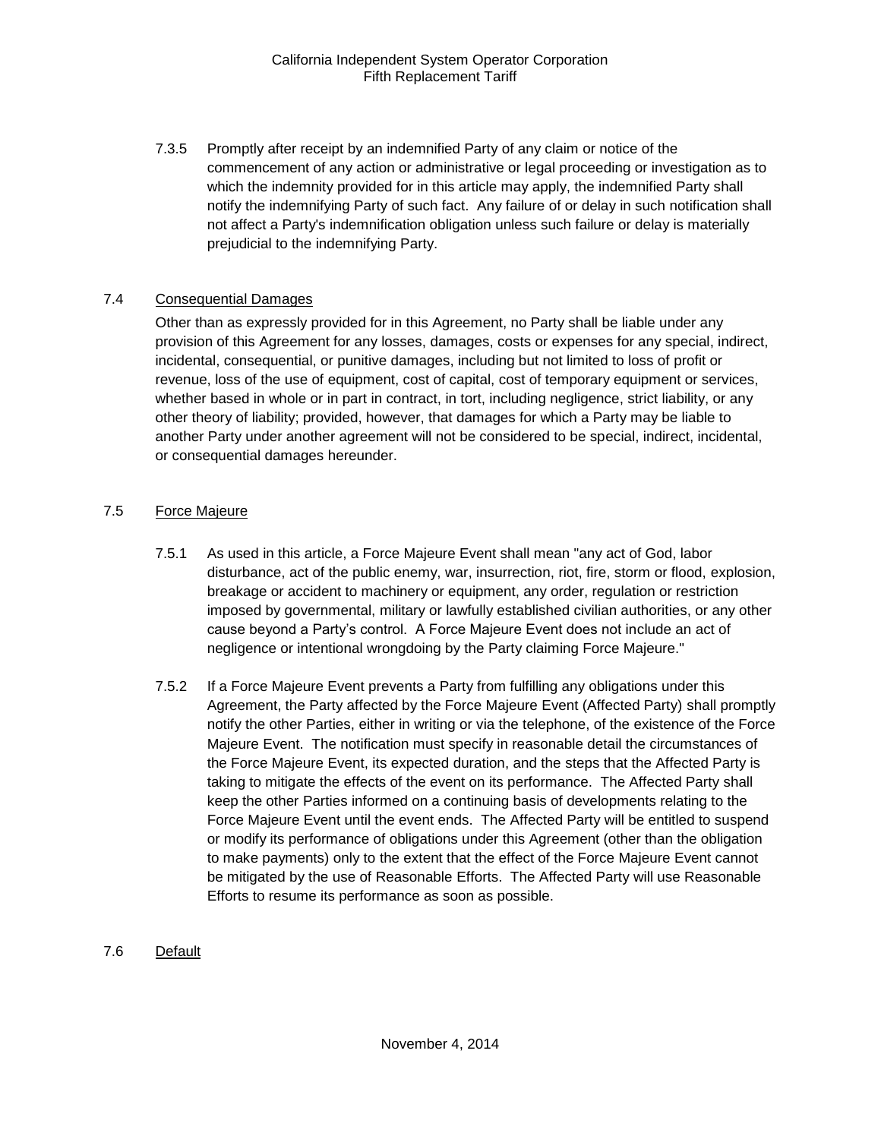7.3.5 Promptly after receipt by an indemnified Party of any claim or notice of the commencement of any action or administrative or legal proceeding or investigation as to which the indemnity provided for in this article may apply, the indemnified Party shall notify the indemnifying Party of such fact. Any failure of or delay in such notification shall not affect a Party's indemnification obligation unless such failure or delay is materially prejudicial to the indemnifying Party.

#### <span id="page-20-0"></span>7.4 Consequential Damages

Other than as expressly provided for in this Agreement, no Party shall be liable under any provision of this Agreement for any losses, damages, costs or expenses for any special, indirect, incidental, consequential, or punitive damages, including but not limited to loss of profit or revenue, loss of the use of equipment, cost of capital, cost of temporary equipment or services, whether based in whole or in part in contract, in tort, including negligence, strict liability, or any other theory of liability; provided, however, that damages for which a Party may be liable to another Party under another agreement will not be considered to be special, indirect, incidental, or consequential damages hereunder.

#### <span id="page-20-1"></span>7.5 Force Majeure

- 7.5.1 As used in this article, a Force Majeure Event shall mean "any act of God, labor disturbance, act of the public enemy, war, insurrection, riot, fire, storm or flood, explosion, breakage or accident to machinery or equipment, any order, regulation or restriction imposed by governmental, military or lawfully established civilian authorities, or any other cause beyond a Party's control. A Force Majeure Event does not include an act of negligence or intentional wrongdoing by the Party claiming Force Majeure."
- 7.5.2 If a Force Majeure Event prevents a Party from fulfilling any obligations under this Agreement, the Party affected by the Force Majeure Event (Affected Party) shall promptly notify the other Parties, either in writing or via the telephone, of the existence of the Force Majeure Event. The notification must specify in reasonable detail the circumstances of the Force Majeure Event, its expected duration, and the steps that the Affected Party is taking to mitigate the effects of the event on its performance. The Affected Party shall keep the other Parties informed on a continuing basis of developments relating to the Force Majeure Event until the event ends. The Affected Party will be entitled to suspend or modify its performance of obligations under this Agreement (other than the obligation to make payments) only to the extent that the effect of the Force Majeure Event cannot be mitigated by the use of Reasonable Efforts. The Affected Party will use Reasonable Efforts to resume its performance as soon as possible.

#### <span id="page-20-2"></span>7.6 Default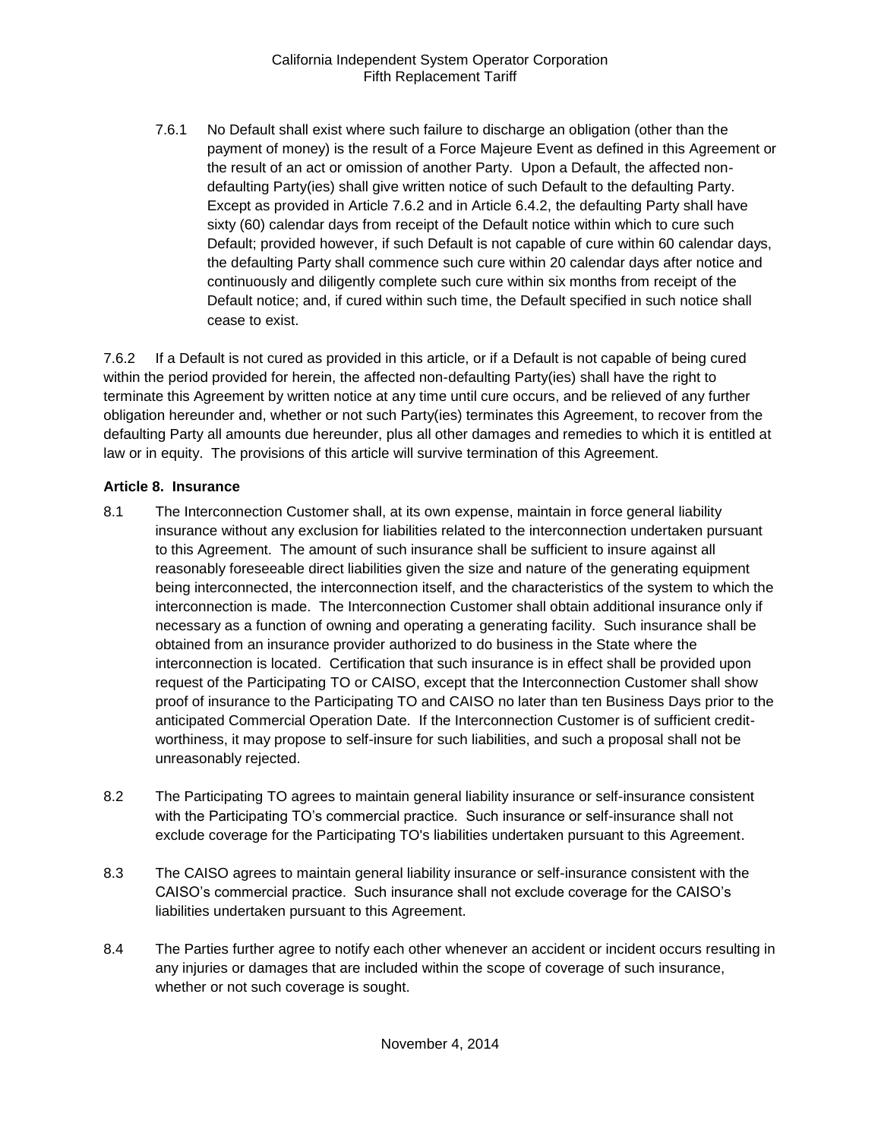7.6.1 No Default shall exist where such failure to discharge an obligation (other than the payment of money) is the result of a Force Majeure Event as defined in this Agreement or the result of an act or omission of another Party. Upon a Default, the affected nondefaulting Party(ies) shall give written notice of such Default to the defaulting Party. Except as provided in Article 7.6.2 and in Article 6.4.2, the defaulting Party shall have sixty (60) calendar days from receipt of the Default notice within which to cure such Default; provided however, if such Default is not capable of cure within 60 calendar days, the defaulting Party shall commence such cure within 20 calendar days after notice and continuously and diligently complete such cure within six months from receipt of the Default notice; and, if cured within such time, the Default specified in such notice shall cease to exist.

7.6.2 If a Default is not cured as provided in this article, or if a Default is not capable of being cured within the period provided for herein, the affected non-defaulting Party(ies) shall have the right to terminate this Agreement by written notice at any time until cure occurs, and be relieved of any further obligation hereunder and, whether or not such Party(ies) terminates this Agreement, to recover from the defaulting Party all amounts due hereunder, plus all other damages and remedies to which it is entitled at law or in equity. The provisions of this article will survive termination of this Agreement.

# <span id="page-21-0"></span>**Article 8. Insurance**

- <span id="page-21-1"></span>8.1 The Interconnection Customer shall, at its own expense, maintain in force general liability insurance without any exclusion for liabilities related to the interconnection undertaken pursuant to this Agreement. The amount of such insurance shall be sufficient to insure against all reasonably foreseeable direct liabilities given the size and nature of the generating equipment being interconnected, the interconnection itself, and the characteristics of the system to which the interconnection is made. The Interconnection Customer shall obtain additional insurance only if necessary as a function of owning and operating a generating facility. Such insurance shall be obtained from an insurance provider authorized to do business in the State where the interconnection is located. Certification that such insurance is in effect shall be provided upon request of the Participating TO or CAISO, except that the Interconnection Customer shall show proof of insurance to the Participating TO and CAISO no later than ten Business Days prior to the anticipated Commercial Operation Date. If the Interconnection Customer is of sufficient creditworthiness, it may propose to self-insure for such liabilities, and such a proposal shall not be unreasonably rejected.
- <span id="page-21-2"></span>8.2 The Participating TO agrees to maintain general liability insurance or self-insurance consistent with the Participating TO's commercial practice. Such insurance or self-insurance shall not exclude coverage for the Participating TO's liabilities undertaken pursuant to this Agreement.
- <span id="page-21-3"></span>8.3 The CAISO agrees to maintain general liability insurance or self-insurance consistent with the CAISO's commercial practice. Such insurance shall not exclude coverage for the CAISO's liabilities undertaken pursuant to this Agreement.
- <span id="page-21-4"></span>8.4 The Parties further agree to notify each other whenever an accident or incident occurs resulting in any injuries or damages that are included within the scope of coverage of such insurance, whether or not such coverage is sought.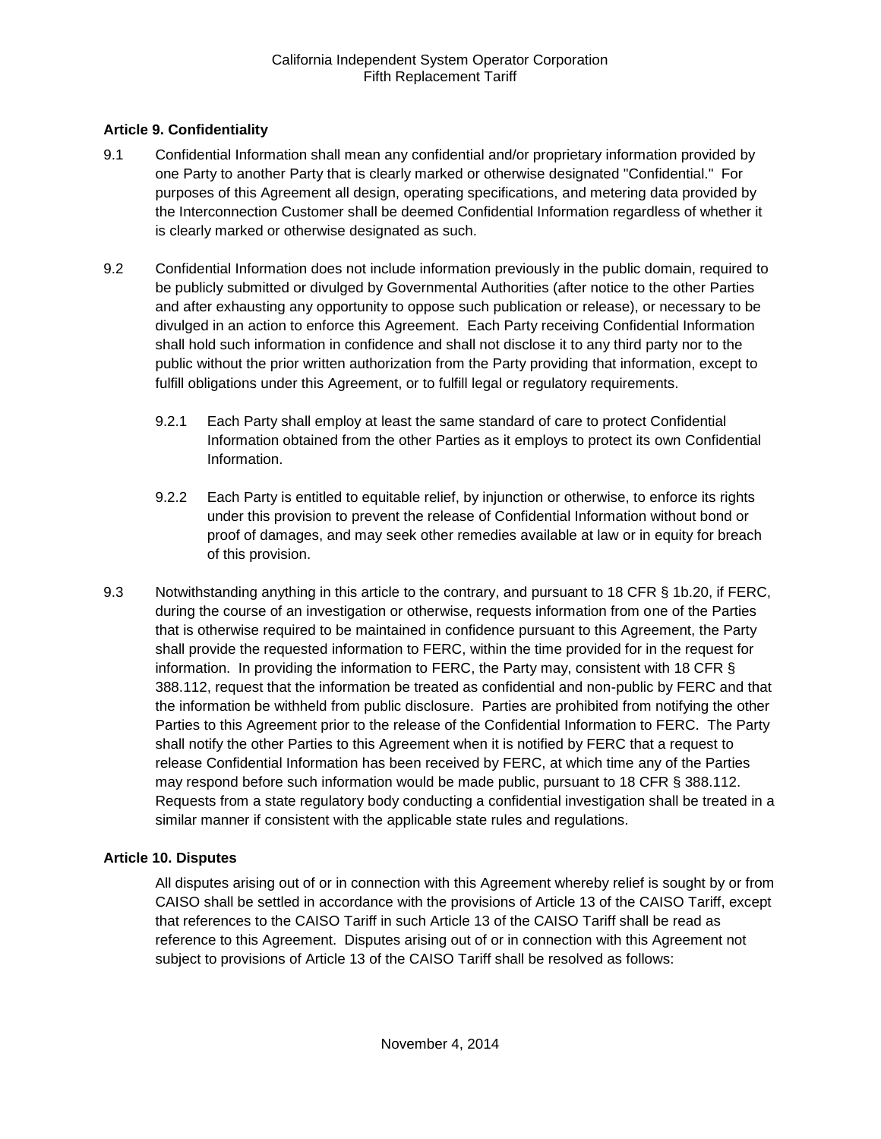# <span id="page-22-0"></span>**Article 9. Confidentiality**

- <span id="page-22-1"></span>9.1 Confidential Information shall mean any confidential and/or proprietary information provided by one Party to another Party that is clearly marked or otherwise designated "Confidential." For purposes of this Agreement all design, operating specifications, and metering data provided by the Interconnection Customer shall be deemed Confidential Information regardless of whether it is clearly marked or otherwise designated as such.
- <span id="page-22-2"></span>9.2 Confidential Information does not include information previously in the public domain, required to be publicly submitted or divulged by Governmental Authorities (after notice to the other Parties and after exhausting any opportunity to oppose such publication or release), or necessary to be divulged in an action to enforce this Agreement. Each Party receiving Confidential Information shall hold such information in confidence and shall not disclose it to any third party nor to the public without the prior written authorization from the Party providing that information, except to fulfill obligations under this Agreement, or to fulfill legal or regulatory requirements.
	- 9.2.1 Each Party shall employ at least the same standard of care to protect Confidential Information obtained from the other Parties as it employs to protect its own Confidential Information.
	- 9.2.2 Each Party is entitled to equitable relief, by injunction or otherwise, to enforce its rights under this provision to prevent the release of Confidential Information without bond or proof of damages, and may seek other remedies available at law or in equity for breach of this provision.
- <span id="page-22-3"></span>9.3 Notwithstanding anything in this article to the contrary, and pursuant to 18 CFR § 1b.20, if FERC, during the course of an investigation or otherwise, requests information from one of the Parties that is otherwise required to be maintained in confidence pursuant to this Agreement, the Party shall provide the requested information to FERC, within the time provided for in the request for information. In providing the information to FERC, the Party may, consistent with 18 CFR § 388.112, request that the information be treated as confidential and non-public by FERC and that the information be withheld from public disclosure. Parties are prohibited from notifying the other Parties to this Agreement prior to the release of the Confidential Information to FERC. The Party shall notify the other Parties to this Agreement when it is notified by FERC that a request to release Confidential Information has been received by FERC, at which time any of the Parties may respond before such information would be made public, pursuant to 18 CFR § 388.112. Requests from a state regulatory body conducting a confidential investigation shall be treated in a similar manner if consistent with the applicable state rules and regulations.

#### <span id="page-22-4"></span>**Article 10. Disputes**

All disputes arising out of or in connection with this Agreement whereby relief is sought by or from CAISO shall be settled in accordance with the provisions of Article 13 of the CAISO Tariff, except that references to the CAISO Tariff in such Article 13 of the CAISO Tariff shall be read as reference to this Agreement. Disputes arising out of or in connection with this Agreement not subject to provisions of Article 13 of the CAISO Tariff shall be resolved as follows: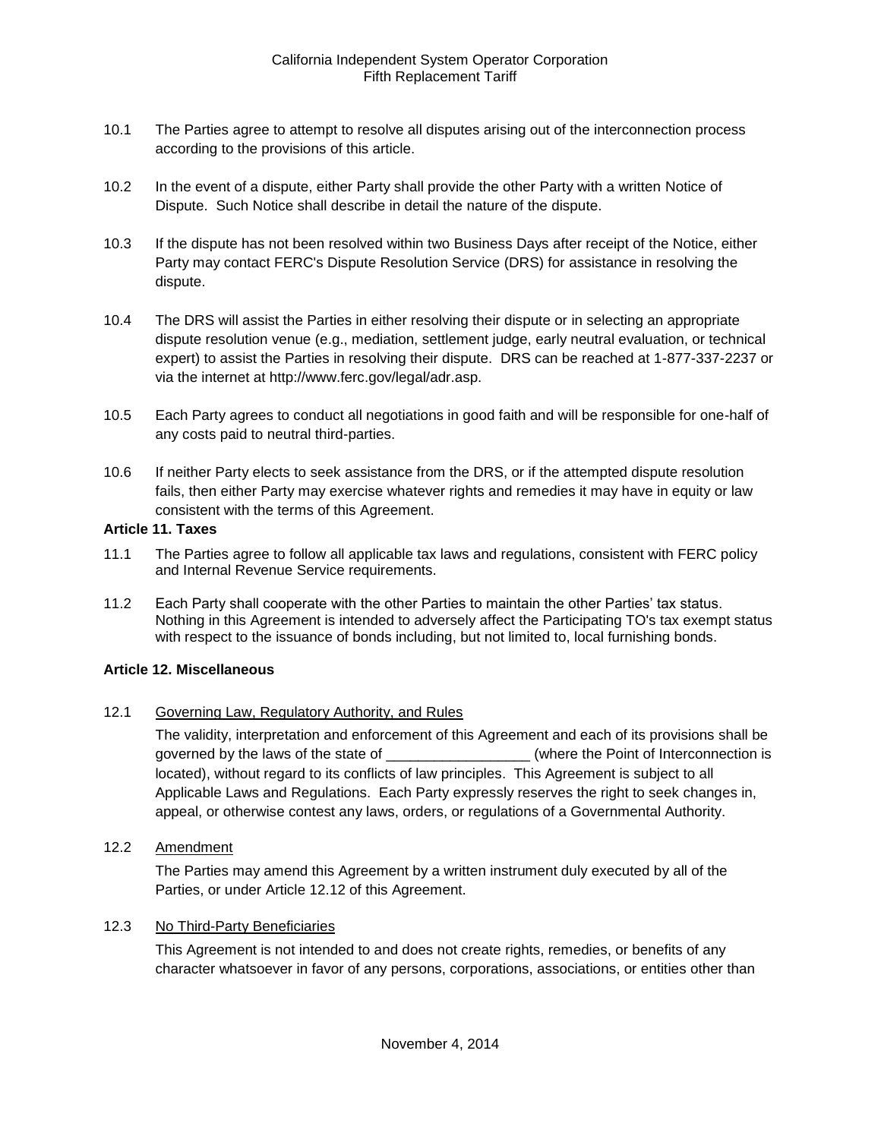- <span id="page-23-0"></span>10.1 The Parties agree to attempt to resolve all disputes arising out of the interconnection process according to the provisions of this article.
- <span id="page-23-1"></span>10.2 In the event of a dispute, either Party shall provide the other Party with a written Notice of Dispute. Such Notice shall describe in detail the nature of the dispute.
- <span id="page-23-2"></span>10.3 If the dispute has not been resolved within two Business Days after receipt of the Notice, either Party may contact FERC's Dispute Resolution Service (DRS) for assistance in resolving the dispute.
- <span id="page-23-3"></span>10.4 The DRS will assist the Parties in either resolving their dispute or in selecting an appropriate dispute resolution venue (e.g., mediation, settlement judge, early neutral evaluation, or technical expert) to assist the Parties in resolving their dispute. DRS can be reached at 1-877-337-2237 or via the internet at http://www.ferc.gov/legal/adr.asp.
- <span id="page-23-4"></span>10.5 Each Party agrees to conduct all negotiations in good faith and will be responsible for one-half of any costs paid to neutral third-parties.
- <span id="page-23-5"></span>10.6 If neither Party elects to seek assistance from the DRS, or if the attempted dispute resolution fails, then either Party may exercise whatever rights and remedies it may have in equity or law consistent with the terms of this Agreement.

#### <span id="page-23-6"></span>**Article 11. Taxes**

- <span id="page-23-7"></span>11.1 The Parties agree to follow all applicable tax laws and regulations, consistent with FERC policy and Internal Revenue Service requirements.
- <span id="page-23-8"></span>11.2 Each Party shall cooperate with the other Parties to maintain the other Parties' tax status. Nothing in this Agreement is intended to adversely affect the Participating TO's tax exempt status with respect to the issuance of bonds including, but not limited to, local furnishing bonds.

#### <span id="page-23-9"></span>**Article 12. Miscellaneous**

<span id="page-23-10"></span>12.1 Governing Law, Regulatory Authority, and Rules

The validity, interpretation and enforcement of this Agreement and each of its provisions shall be governed by the laws of the state of  $\Box$  (where the Point of Interconnection is located), without regard to its conflicts of law principles. This Agreement is subject to all Applicable Laws and Regulations. Each Party expressly reserves the right to seek changes in, appeal, or otherwise contest any laws, orders, or regulations of a Governmental Authority.

<span id="page-23-11"></span>12.2 Amendment

The Parties may amend this Agreement by a written instrument duly executed by all of the Parties, or under Article 12.12 of this Agreement.

#### <span id="page-23-12"></span>12.3 No Third-Party Beneficiaries

This Agreement is not intended to and does not create rights, remedies, or benefits of any character whatsoever in favor of any persons, corporations, associations, or entities other than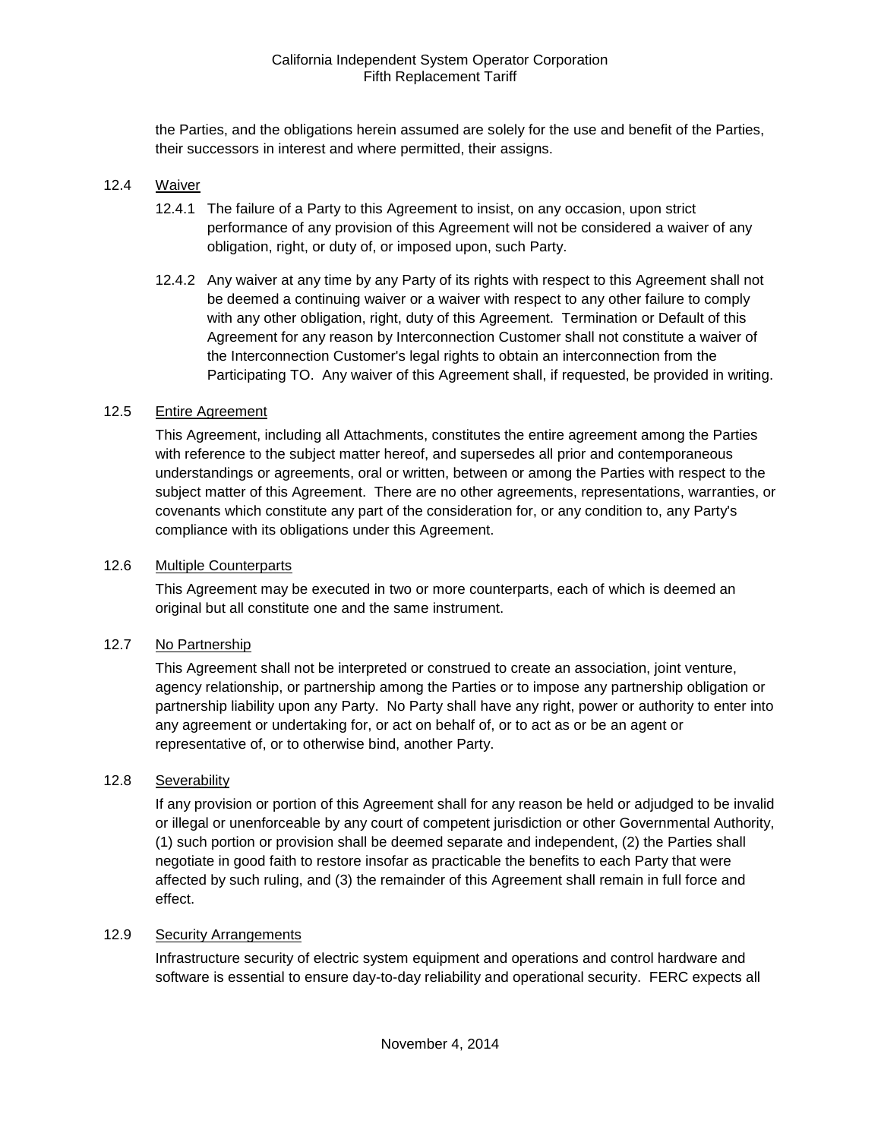the Parties, and the obligations herein assumed are solely for the use and benefit of the Parties, their successors in interest and where permitted, their assigns.

#### <span id="page-24-0"></span>12.4 Waiver

- 12.4.1 The failure of a Party to this Agreement to insist, on any occasion, upon strict performance of any provision of this Agreement will not be considered a waiver of any obligation, right, or duty of, or imposed upon, such Party.
- 12.4.2 Any waiver at any time by any Party of its rights with respect to this Agreement shall not be deemed a continuing waiver or a waiver with respect to any other failure to comply with any other obligation, right, duty of this Agreement. Termination or Default of this Agreement for any reason by Interconnection Customer shall not constitute a waiver of the Interconnection Customer's legal rights to obtain an interconnection from the Participating TO. Any waiver of this Agreement shall, if requested, be provided in writing.

#### <span id="page-24-1"></span>12.5 Entire Agreement

This Agreement, including all Attachments, constitutes the entire agreement among the Parties with reference to the subject matter hereof, and supersedes all prior and contemporaneous understandings or agreements, oral or written, between or among the Parties with respect to the subject matter of this Agreement. There are no other agreements, representations, warranties, or covenants which constitute any part of the consideration for, or any condition to, any Party's compliance with its obligations under this Agreement.

#### <span id="page-24-2"></span>12.6 Multiple Counterparts

This Agreement may be executed in two or more counterparts, each of which is deemed an original but all constitute one and the same instrument.

#### <span id="page-24-3"></span>12.7 No Partnership

This Agreement shall not be interpreted or construed to create an association, joint venture, agency relationship, or partnership among the Parties or to impose any partnership obligation or partnership liability upon any Party. No Party shall have any right, power or authority to enter into any agreement or undertaking for, or act on behalf of, or to act as or be an agent or representative of, or to otherwise bind, another Party.

### <span id="page-24-4"></span>12.8 Severability

If any provision or portion of this Agreement shall for any reason be held or adjudged to be invalid or illegal or unenforceable by any court of competent jurisdiction or other Governmental Authority, (1) such portion or provision shall be deemed separate and independent, (2) the Parties shall negotiate in good faith to restore insofar as practicable the benefits to each Party that were affected by such ruling, and (3) the remainder of this Agreement shall remain in full force and effect.

#### <span id="page-24-5"></span>12.9 Security Arrangements

Infrastructure security of electric system equipment and operations and control hardware and software is essential to ensure day-to-day reliability and operational security. FERC expects all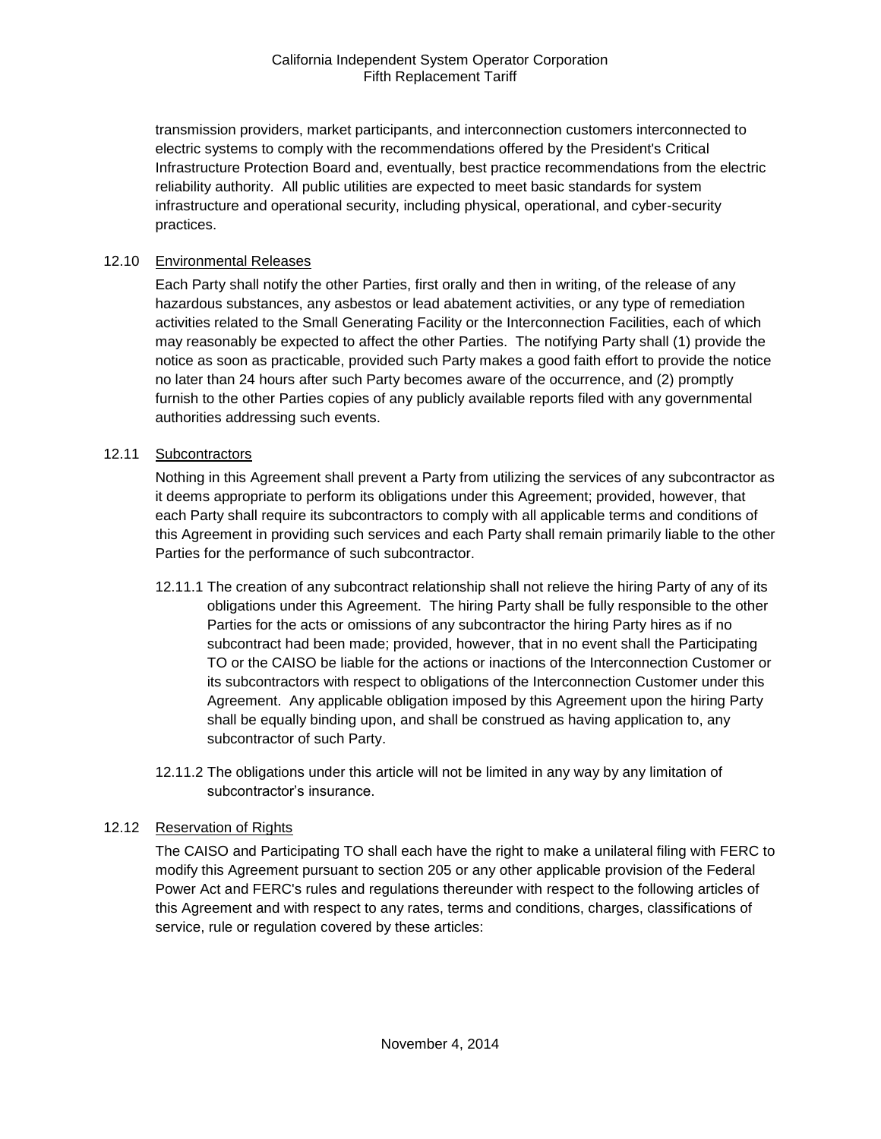transmission providers, market participants, and interconnection customers interconnected to electric systems to comply with the recommendations offered by the President's Critical Infrastructure Protection Board and, eventually, best practice recommendations from the electric reliability authority. All public utilities are expected to meet basic standards for system infrastructure and operational security, including physical, operational, and cyber-security practices.

#### <span id="page-25-0"></span>12.10 Environmental Releases

Each Party shall notify the other Parties, first orally and then in writing, of the release of any hazardous substances, any asbestos or lead abatement activities, or any type of remediation activities related to the Small Generating Facility or the Interconnection Facilities, each of which may reasonably be expected to affect the other Parties. The notifying Party shall (1) provide the notice as soon as practicable, provided such Party makes a good faith effort to provide the notice no later than 24 hours after such Party becomes aware of the occurrence, and (2) promptly furnish to the other Parties copies of any publicly available reports filed with any governmental authorities addressing such events.

#### <span id="page-25-1"></span>12.11 Subcontractors

Nothing in this Agreement shall prevent a Party from utilizing the services of any subcontractor as it deems appropriate to perform its obligations under this Agreement; provided, however, that each Party shall require its subcontractors to comply with all applicable terms and conditions of this Agreement in providing such services and each Party shall remain primarily liable to the other Parties for the performance of such subcontractor.

- 12.11.1 The creation of any subcontract relationship shall not relieve the hiring Party of any of its obligations under this Agreement. The hiring Party shall be fully responsible to the other Parties for the acts or omissions of any subcontractor the hiring Party hires as if no subcontract had been made; provided, however, that in no event shall the Participating TO or the CAISO be liable for the actions or inactions of the Interconnection Customer or its subcontractors with respect to obligations of the Interconnection Customer under this Agreement. Any applicable obligation imposed by this Agreement upon the hiring Party shall be equally binding upon, and shall be construed as having application to, any subcontractor of such Party.
- 12.11.2 The obligations under this article will not be limited in any way by any limitation of subcontractor's insurance.

#### <span id="page-25-2"></span>12.12 Reservation of Rights

The CAISO and Participating TO shall each have the right to make a unilateral filing with FERC to modify this Agreement pursuant to section 205 or any other applicable provision of the Federal Power Act and FERC's rules and regulations thereunder with respect to the following articles of this Agreement and with respect to any rates, terms and conditions, charges, classifications of service, rule or regulation covered by these articles: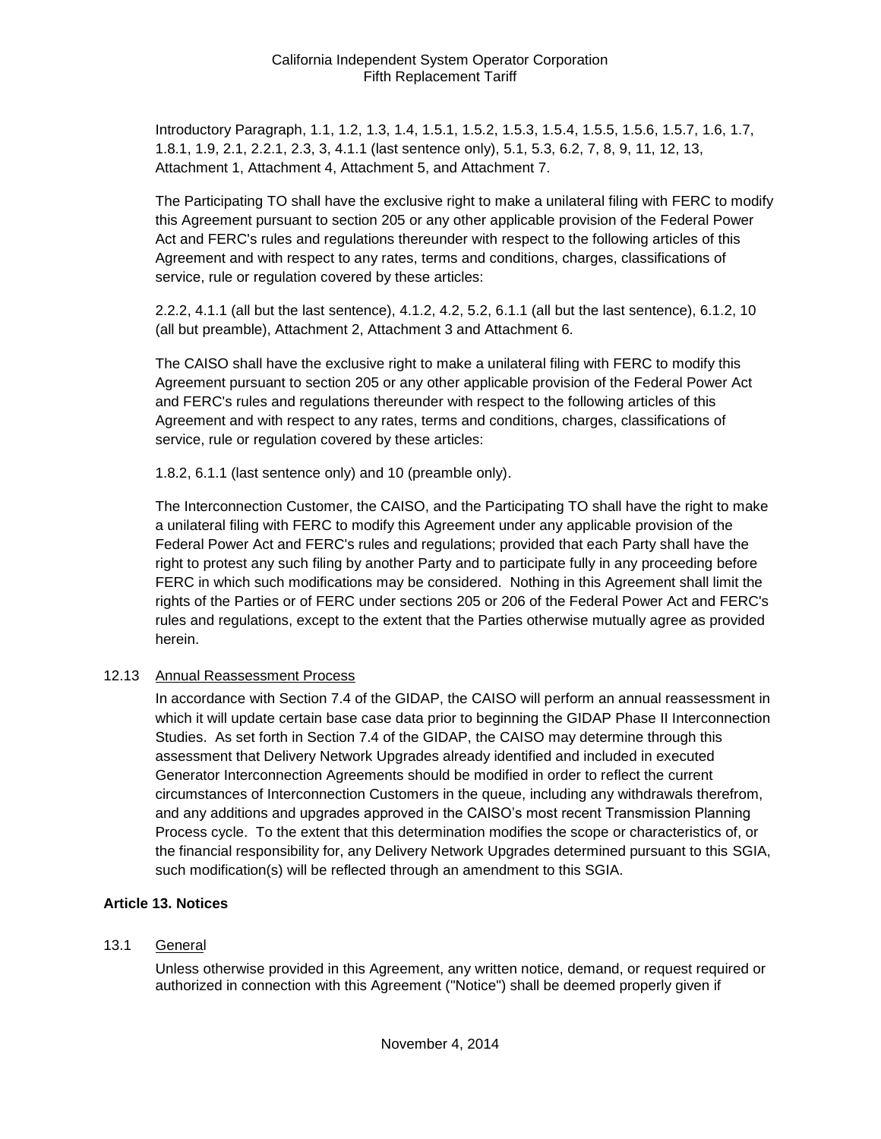Introductory Paragraph, 1.1, 1.2, 1.3, 1.4, 1.5.1, 1.5.2, 1.5.3, 1.5.4, 1.5.5, 1.5.6, 1.5.7, 1.6, 1.7, 1.8.1, 1.9, 2.1, 2.2.1, 2.3, 3, 4.1.1 (last sentence only), 5.1, 5.3, 6.2, 7, 8, 9, 11, 12, 13, Attachment 1, Attachment 4, Attachment 5, and Attachment 7.

The Participating TO shall have the exclusive right to make a unilateral filing with FERC to modify this Agreement pursuant to section 205 or any other applicable provision of the Federal Power Act and FERC's rules and regulations thereunder with respect to the following articles of this Agreement and with respect to any rates, terms and conditions, charges, classifications of service, rule or regulation covered by these articles:

2.2.2, 4.1.1 (all but the last sentence), 4.1.2, 4.2, 5.2, 6.1.1 (all but the last sentence), 6.1.2, 10 (all but preamble), Attachment 2, Attachment 3 and Attachment 6.

The CAISO shall have the exclusive right to make a unilateral filing with FERC to modify this Agreement pursuant to section 205 or any other applicable provision of the Federal Power Act and FERC's rules and regulations thereunder with respect to the following articles of this Agreement and with respect to any rates, terms and conditions, charges, classifications of service, rule or regulation covered by these articles:

1.8.2, 6.1.1 (last sentence only) and 10 (preamble only).

The Interconnection Customer, the CAISO, and the Participating TO shall have the right to make a unilateral filing with FERC to modify this Agreement under any applicable provision of the Federal Power Act and FERC's rules and regulations; provided that each Party shall have the right to protest any such filing by another Party and to participate fully in any proceeding before FERC in which such modifications may be considered. Nothing in this Agreement shall limit the rights of the Parties or of FERC under sections 205 or 206 of the Federal Power Act and FERC's rules and regulations, except to the extent that the Parties otherwise mutually agree as provided herein.

#### <span id="page-26-0"></span>12.13 Annual Reassessment Process

In accordance with Section 7.4 of the GIDAP, the CAISO will perform an annual reassessment in which it will update certain base case data prior to beginning the GIDAP Phase II Interconnection Studies. As set forth in Section 7.4 of the GIDAP, the CAISO may determine through this assessment that Delivery Network Upgrades already identified and included in executed Generator Interconnection Agreements should be modified in order to reflect the current circumstances of Interconnection Customers in the queue, including any withdrawals therefrom, and any additions and upgrades approved in the CAISO's most recent Transmission Planning Process cycle. To the extent that this determination modifies the scope or characteristics of, or the financial responsibility for, any Delivery Network Upgrades determined pursuant to this SGIA, such modification(s) will be reflected through an amendment to this SGIA.

#### <span id="page-26-1"></span>**Article 13. Notices**

#### <span id="page-26-2"></span>13.1 General

Unless otherwise provided in this Agreement, any written notice, demand, or request required or authorized in connection with this Agreement ("Notice") shall be deemed properly given if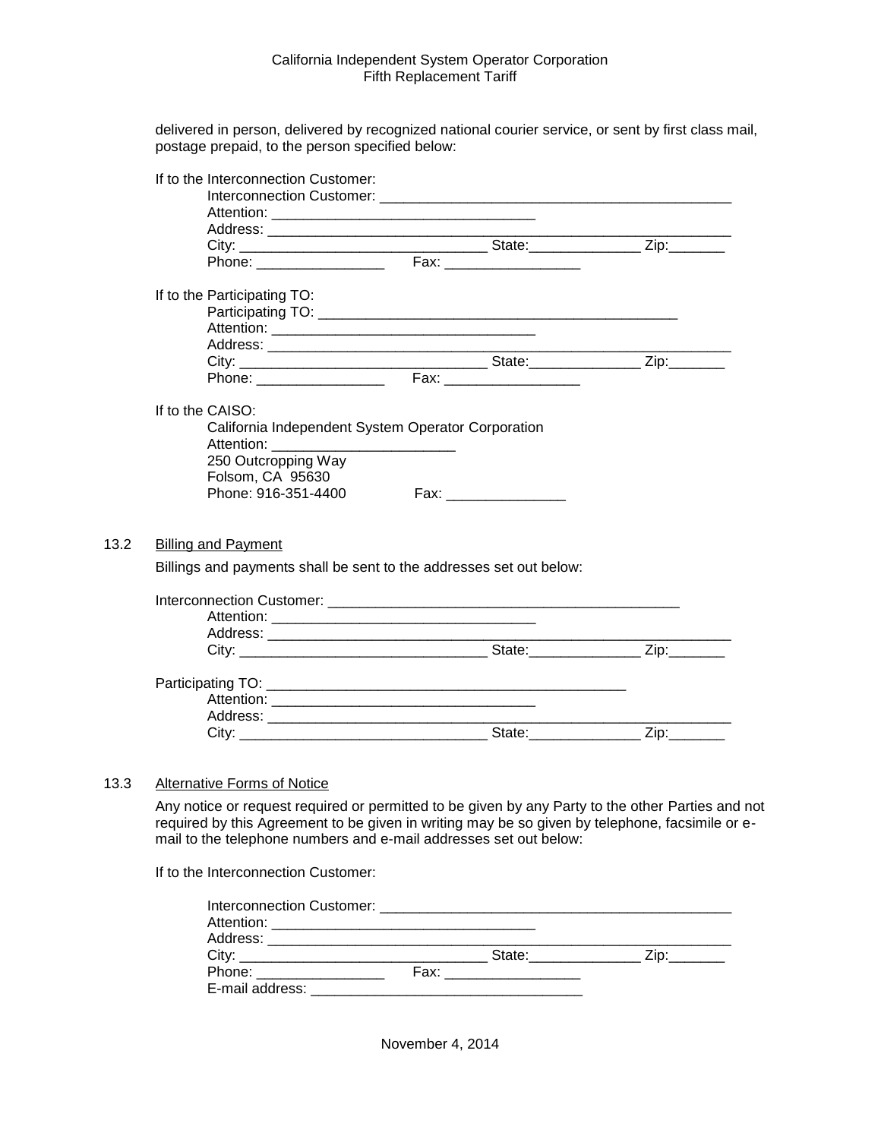delivered in person, delivered by recognized national courier service, or sent by first class mail, postage prepaid, to the person specified below:

| If to the Interconnection Customer:                            |                                                                     |  |
|----------------------------------------------------------------|---------------------------------------------------------------------|--|
|                                                                |                                                                     |  |
|                                                                |                                                                     |  |
|                                                                |                                                                     |  |
|                                                                |                                                                     |  |
|                                                                |                                                                     |  |
| If to the Participating TO:                                    |                                                                     |  |
|                                                                |                                                                     |  |
|                                                                |                                                                     |  |
|                                                                |                                                                     |  |
|                                                                |                                                                     |  |
|                                                                |                                                                     |  |
| If to the CAISO:                                               |                                                                     |  |
|                                                                | California Independent System Operator Corporation                  |  |
|                                                                |                                                                     |  |
|                                                                |                                                                     |  |
| Attention: ____________________________<br>250 Outcropping Way |                                                                     |  |
| Folsom, CA 95630                                               |                                                                     |  |
| Phone: 916-351-4400                                            |                                                                     |  |
|                                                                |                                                                     |  |
|                                                                |                                                                     |  |
| <b>Billing and Payment</b>                                     |                                                                     |  |
|                                                                | Billings and payments shall be sent to the addresses set out below: |  |
|                                                                |                                                                     |  |
|                                                                |                                                                     |  |
|                                                                |                                                                     |  |
|                                                                |                                                                     |  |
|                                                                |                                                                     |  |
|                                                                |                                                                     |  |
|                                                                |                                                                     |  |
|                                                                |                                                                     |  |

#### <span id="page-27-1"></span>13.3 Alternative Forms of Notice

<span id="page-27-0"></span> $13.2$ 

Any notice or request required or permitted to be given by any Party to the other Parties and not required by this Agreement to be given in writing may be so given by telephone, facsimile or email to the telephone numbers and e-mail addresses set out below:

If to the Interconnection Customer:

|                          | State: with the state of the state of the state of the state of the state of the state of the state of the state of the state of the state of the state of the state of the state of the state of the state of the state of th | $\mathsf{Zip:}\_\!\_$ |
|--------------------------|--------------------------------------------------------------------------------------------------------------------------------------------------------------------------------------------------------------------------------|-----------------------|
| Phone: _________________ | Fax:__ _________________                                                                                                                                                                                                       |                       |
| E-mail address:          |                                                                                                                                                                                                                                |                       |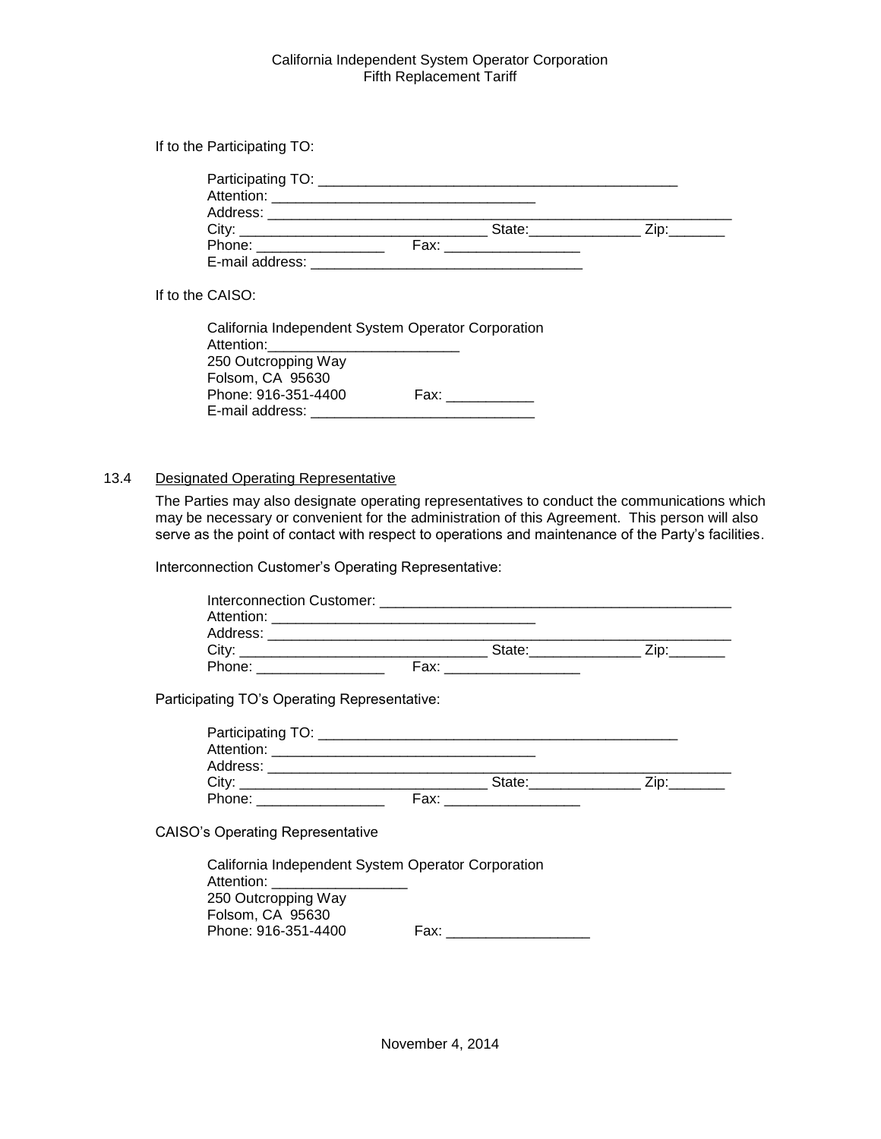If to the Participating TO:

| City:                                                                                                                                                                                                                          | State: and the state of the state of the state of the state of the state of the state of the state of the state of the state of the state of the state of the state of the state of the state of the state of the state of the |  |
|--------------------------------------------------------------------------------------------------------------------------------------------------------------------------------------------------------------------------------|--------------------------------------------------------------------------------------------------------------------------------------------------------------------------------------------------------------------------------|--|
| Phone: The contract of the contract of the contract of the contract of the contract of the contract of the contract of the contract of the contract of the contract of the contract of the contract of the contract of the con | Fax: with the contract of the contract of the contract of the contract of the contract of the contract of the contract of the contract of the contract of the contract of the contract of the contract of the contract of the  |  |
| E-mail address:                                                                                                                                                                                                                |                                                                                                                                                                                                                                |  |

If to the CAISO:

| California Independent System Operator Corporation |
|----------------------------------------------------|
|                                                    |
|                                                    |
| Fax: Fax                                           |
|                                                    |
|                                                    |

#### <span id="page-28-0"></span>13.4 Designated Operating Representative

Folsom, CA 95630

The Parties may also designate operating representatives to conduct the communications which may be necessary or convenient for the administration of this Agreement. This person will also serve as the point of contact with respect to operations and maintenance of the Party's facilities.

Interconnection Customer's Operating Representative:

| Participating TO's Operating Representative: |                                                    |  |
|----------------------------------------------|----------------------------------------------------|--|
|                                              |                                                    |  |
|                                              |                                                    |  |
|                                              |                                                    |  |
|                                              |                                                    |  |
|                                              |                                                    |  |
| <b>CAISO's Operating Representative</b>      |                                                    |  |
|                                              | California Independent System Operator Corporation |  |
| Attention: _____________________             |                                                    |  |
| 250 Outcropping Way                          |                                                    |  |

Phone: 916-351-4400 Fax: \_\_\_\_\_\_\_\_\_\_\_\_\_\_\_\_\_\_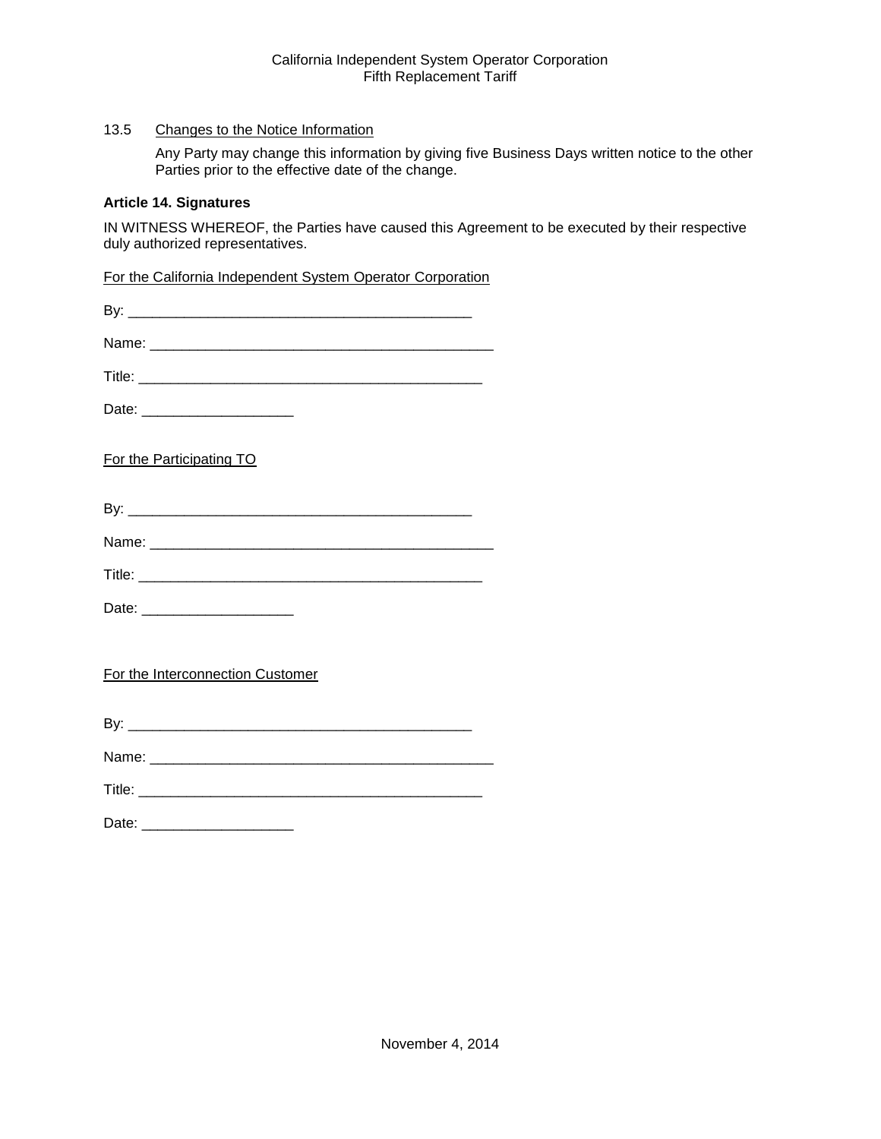# <span id="page-29-0"></span>13.5 Changes to the Notice Information

Any Party may change this information by giving five Business Days written notice to the other Parties prior to the effective date of the change.

#### <span id="page-29-1"></span>**Article 14. Signatures**

IN WITNESS WHEREOF, the Parties have caused this Agreement to be executed by their respective duly authorized representatives.

For the California Independent System Operator Corporation

| Date: _________________________  |
|----------------------------------|
| For the Participating TO         |
|                                  |
|                                  |
|                                  |
| Date: _________________________  |
| For the Interconnection Customer |
|                                  |
|                                  |
|                                  |
|                                  |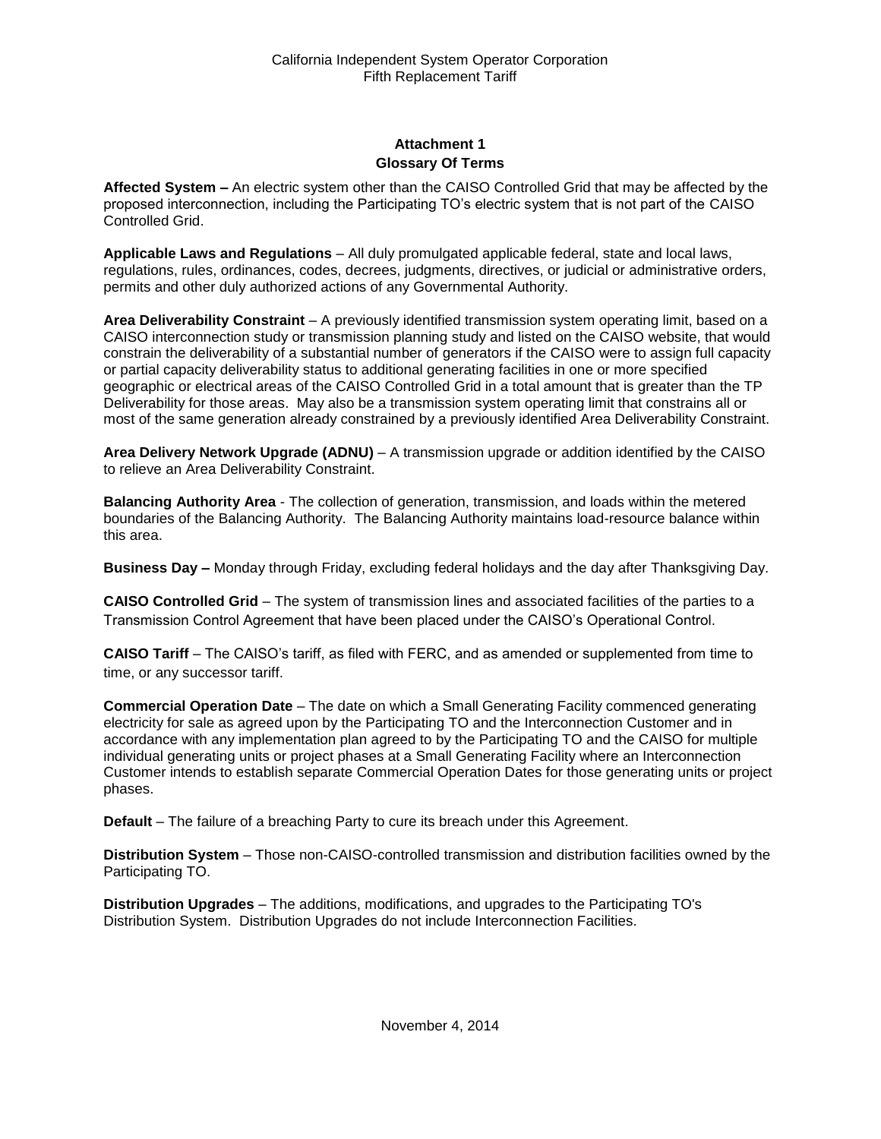# **Attachment 1 Glossary Of Terms**

<span id="page-30-1"></span><span id="page-30-0"></span>**Affected System –** An electric system other than the CAISO Controlled Grid that may be affected by the proposed interconnection, including the Participating TO's electric system that is not part of the CAISO Controlled Grid.

**Applicable Laws and Regulations** – All duly promulgated applicable federal, state and local laws, regulations, rules, ordinances, codes, decrees, judgments, directives, or judicial or administrative orders, permits and other duly authorized actions of any Governmental Authority.

**Area Deliverability Constraint** – A previously identified transmission system operating limit, based on a CAISO interconnection study or transmission planning study and listed on the CAISO website, that would constrain the deliverability of a substantial number of generators if the CAISO were to assign full capacity or partial capacity deliverability status to additional generating facilities in one or more specified geographic or electrical areas of the CAISO Controlled Grid in a total amount that is greater than the TP Deliverability for those areas. May also be a transmission system operating limit that constrains all or most of the same generation already constrained by a previously identified Area Deliverability Constraint.

**Area Delivery Network Upgrade (ADNU)** – A transmission upgrade or addition identified by the CAISO to relieve an Area Deliverability Constraint.

**Balancing Authority Area** - The collection of generation, transmission, and loads within the metered boundaries of the Balancing Authority. The Balancing Authority maintains load-resource balance within this area.

**Business Day –** Monday through Friday, excluding federal holidays and the day after Thanksgiving Day.

**CAISO Controlled Grid** – The system of transmission lines and associated facilities of the parties to a Transmission Control Agreement that have been placed under the CAISO's Operational Control.

**CAISO Tariff** – The CAISO's tariff, as filed with FERC, and as amended or supplemented from time to time, or any successor tariff.

**Commercial Operation Date** – The date on which a Small Generating Facility commenced generating electricity for sale as agreed upon by the Participating TO and the Interconnection Customer and in accordance with any implementation plan agreed to by the Participating TO and the CAISO for multiple individual generating units or project phases at a Small Generating Facility where an Interconnection Customer intends to establish separate Commercial Operation Dates for those generating units or project phases.

**Default** – The failure of a breaching Party to cure its breach under this Agreement.

**Distribution System** – Those non-CAISO-controlled transmission and distribution facilities owned by the Participating TO.

**Distribution Upgrades** – The additions, modifications, and upgrades to the Participating TO's Distribution System. Distribution Upgrades do not include Interconnection Facilities.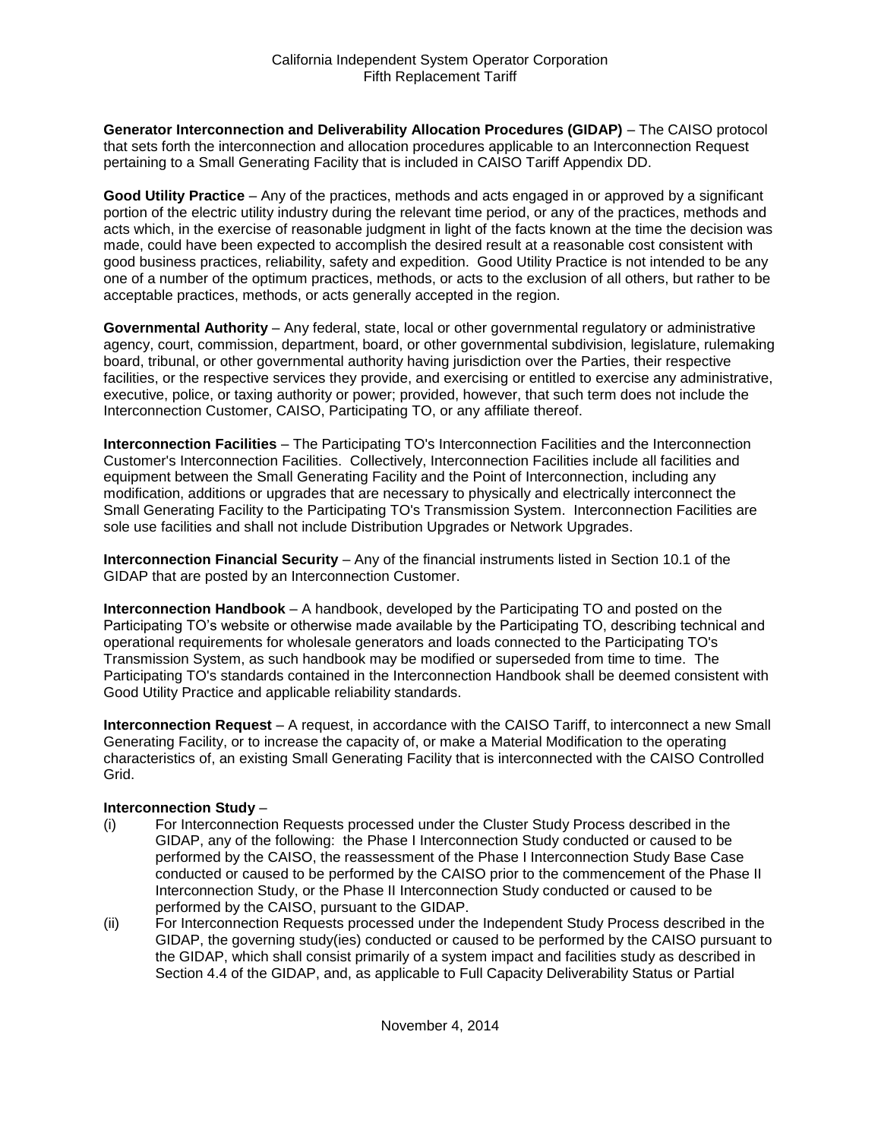**Generator Interconnection and Deliverability Allocation Procedures (GIDAP)** – The CAISO protocol that sets forth the interconnection and allocation procedures applicable to an Interconnection Request pertaining to a Small Generating Facility that is included in CAISO Tariff Appendix DD.

**Good Utility Practice** – Any of the practices, methods and acts engaged in or approved by a significant portion of the electric utility industry during the relevant time period, or any of the practices, methods and acts which, in the exercise of reasonable judgment in light of the facts known at the time the decision was made, could have been expected to accomplish the desired result at a reasonable cost consistent with good business practices, reliability, safety and expedition. Good Utility Practice is not intended to be any one of a number of the optimum practices, methods, or acts to the exclusion of all others, but rather to be acceptable practices, methods, or acts generally accepted in the region.

**Governmental Authority** – Any federal, state, local or other governmental regulatory or administrative agency, court, commission, department, board, or other governmental subdivision, legislature, rulemaking board, tribunal, or other governmental authority having jurisdiction over the Parties, their respective facilities, or the respective services they provide, and exercising or entitled to exercise any administrative, executive, police, or taxing authority or power; provided, however, that such term does not include the Interconnection Customer, CAISO, Participating TO, or any affiliate thereof.

**Interconnection Facilities** – The Participating TO's Interconnection Facilities and the Interconnection Customer's Interconnection Facilities. Collectively, Interconnection Facilities include all facilities and equipment between the Small Generating Facility and the Point of Interconnection, including any modification, additions or upgrades that are necessary to physically and electrically interconnect the Small Generating Facility to the Participating TO's Transmission System. Interconnection Facilities are sole use facilities and shall not include Distribution Upgrades or Network Upgrades.

**Interconnection Financial Security** – Any of the financial instruments listed in Section 10.1 of the GIDAP that are posted by an Interconnection Customer.

**Interconnection Handbook** – A handbook, developed by the Participating TO and posted on the Participating TO's website or otherwise made available by the Participating TO, describing technical and operational requirements for wholesale generators and loads connected to the Participating TO's Transmission System, as such handbook may be modified or superseded from time to time. The Participating TO's standards contained in the Interconnection Handbook shall be deemed consistent with Good Utility Practice and applicable reliability standards.

**Interconnection Request** – A request, in accordance with the CAISO Tariff, to interconnect a new Small Generating Facility, or to increase the capacity of, or make a Material Modification to the operating characteristics of, an existing Small Generating Facility that is interconnected with the CAISO Controlled Grid.

#### **Interconnection Study** –

- (i) For Interconnection Requests processed under the Cluster Study Process described in the GIDAP, any of the following: the Phase I Interconnection Study conducted or caused to be performed by the CAISO, the reassessment of the Phase I Interconnection Study Base Case conducted or caused to be performed by the CAISO prior to the commencement of the Phase II Interconnection Study, or the Phase II Interconnection Study conducted or caused to be performed by the CAISO, pursuant to the GIDAP.
- (ii) For Interconnection Requests processed under the Independent Study Process described in the GIDAP, the governing study(ies) conducted or caused to be performed by the CAISO pursuant to the GIDAP, which shall consist primarily of a system impact and facilities study as described in Section 4.4 of the GIDAP, and, as applicable to Full Capacity Deliverability Status or Partial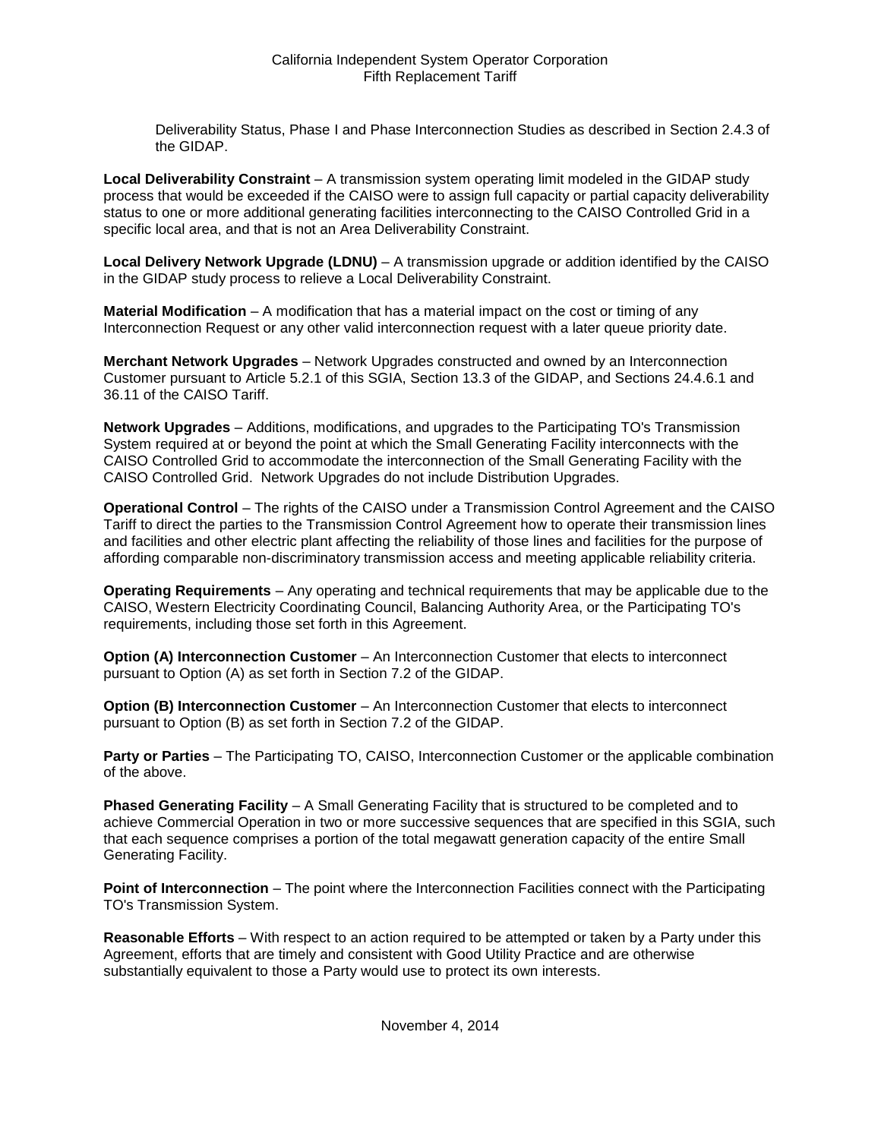Deliverability Status, Phase I and Phase Interconnection Studies as described in Section 2.4.3 of the GIDAP.

**Local Deliverability Constraint** – A transmission system operating limit modeled in the GIDAP study process that would be exceeded if the CAISO were to assign full capacity or partial capacity deliverability status to one or more additional generating facilities interconnecting to the CAISO Controlled Grid in a specific local area, and that is not an Area Deliverability Constraint.

**Local Delivery Network Upgrade (LDNU)** – A transmission upgrade or addition identified by the CAISO in the GIDAP study process to relieve a Local Deliverability Constraint.

**Material Modification** – A modification that has a material impact on the cost or timing of any Interconnection Request or any other valid interconnection request with a later queue priority date.

**Merchant Network Upgrades** – Network Upgrades constructed and owned by an Interconnection Customer pursuant to Article 5.2.1 of this SGIA, Section 13.3 of the GIDAP, and Sections 24.4.6.1 and 36.11 of the CAISO Tariff.

**Network Upgrades** – Additions, modifications, and upgrades to the Participating TO's Transmission System required at or beyond the point at which the Small Generating Facility interconnects with the CAISO Controlled Grid to accommodate the interconnection of the Small Generating Facility with the CAISO Controlled Grid. Network Upgrades do not include Distribution Upgrades.

**Operational Control** – The rights of the CAISO under a Transmission Control Agreement and the CAISO Tariff to direct the parties to the Transmission Control Agreement how to operate their transmission lines and facilities and other electric plant affecting the reliability of those lines and facilities for the purpose of affording comparable non-discriminatory transmission access and meeting applicable reliability criteria.

**Operating Requirements** – Any operating and technical requirements that may be applicable due to the CAISO, Western Electricity Coordinating Council, Balancing Authority Area, or the Participating TO's requirements, including those set forth in this Agreement.

**Option (A) Interconnection Customer** – An Interconnection Customer that elects to interconnect pursuant to Option (A) as set forth in Section 7.2 of the GIDAP.

**Option (B) Interconnection Customer** – An Interconnection Customer that elects to interconnect pursuant to Option (B) as set forth in Section 7.2 of the GIDAP.

**Party or Parties** – The Participating TO, CAISO, Interconnection Customer or the applicable combination of the above.

**Phased Generating Facility** – A Small Generating Facility that is structured to be completed and to achieve Commercial Operation in two or more successive sequences that are specified in this SGIA, such that each sequence comprises a portion of the total megawatt generation capacity of the entire Small Generating Facility.

**Point of Interconnection** – The point where the Interconnection Facilities connect with the Participating TO's Transmission System.

**Reasonable Efforts** – With respect to an action required to be attempted or taken by a Party under this Agreement, efforts that are timely and consistent with Good Utility Practice and are otherwise substantially equivalent to those a Party would use to protect its own interests.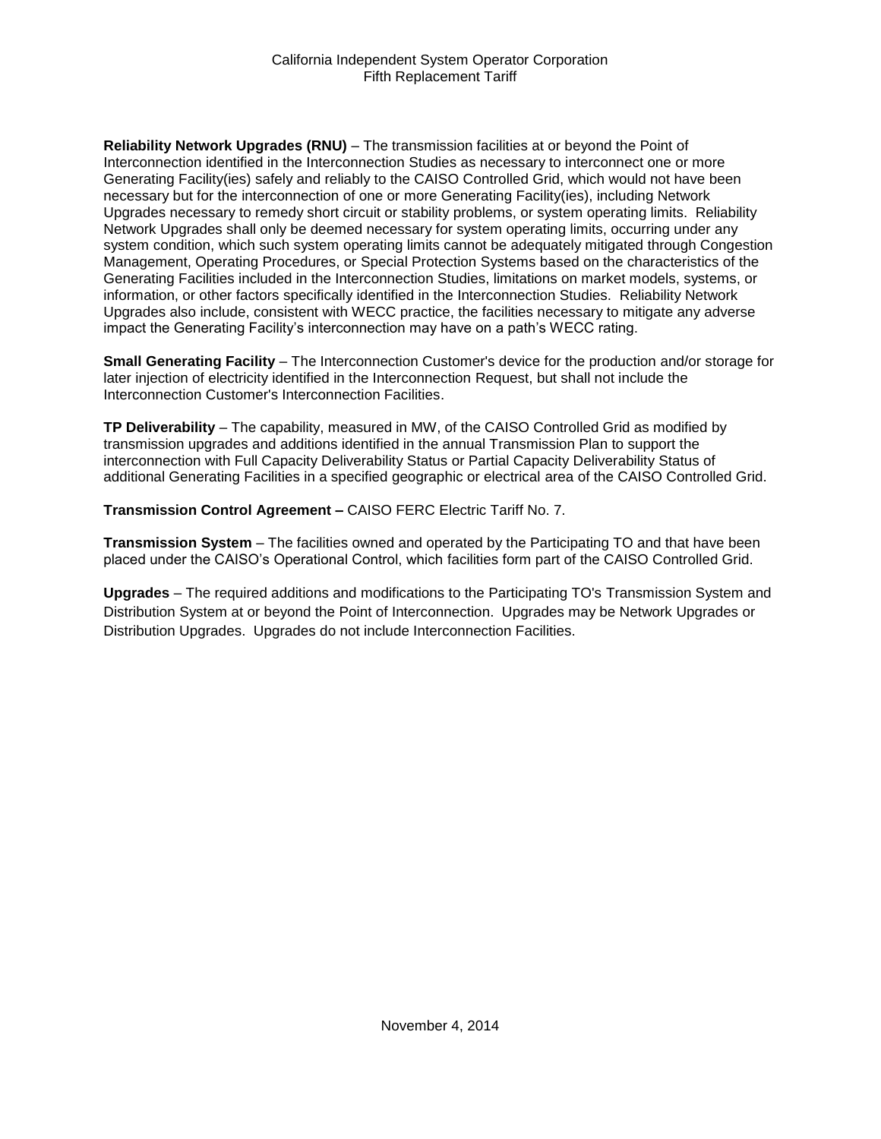**Reliability Network Upgrades (RNU)** – The transmission facilities at or beyond the Point of Interconnection identified in the Interconnection Studies as necessary to interconnect one or more Generating Facility(ies) safely and reliably to the CAISO Controlled Grid, which would not have been necessary but for the interconnection of one or more Generating Facility(ies), including Network Upgrades necessary to remedy short circuit or stability problems, or system operating limits. Reliability Network Upgrades shall only be deemed necessary for system operating limits, occurring under any system condition, which such system operating limits cannot be adequately mitigated through Congestion Management, Operating Procedures, or Special Protection Systems based on the characteristics of the Generating Facilities included in the Interconnection Studies, limitations on market models, systems, or information, or other factors specifically identified in the Interconnection Studies. Reliability Network Upgrades also include, consistent with WECC practice, the facilities necessary to mitigate any adverse impact the Generating Facility's interconnection may have on a path's WECC rating.

**Small Generating Facility** – The Interconnection Customer's device for the production and/or storage for later injection of electricity identified in the Interconnection Request, but shall not include the Interconnection Customer's Interconnection Facilities.

**TP Deliverability** – The capability, measured in MW, of the CAISO Controlled Grid as modified by transmission upgrades and additions identified in the annual Transmission Plan to support the interconnection with Full Capacity Deliverability Status or Partial Capacity Deliverability Status of additional Generating Facilities in a specified geographic or electrical area of the CAISO Controlled Grid.

**Transmission Control Agreement –** CAISO FERC Electric Tariff No. 7.

**Transmission System** – The facilities owned and operated by the Participating TO and that have been placed under the CAISO's Operational Control, which facilities form part of the CAISO Controlled Grid.

**Upgrades** – The required additions and modifications to the Participating TO's Transmission System and Distribution System at or beyond the Point of Interconnection. Upgrades may be Network Upgrades or Distribution Upgrades. Upgrades do not include Interconnection Facilities.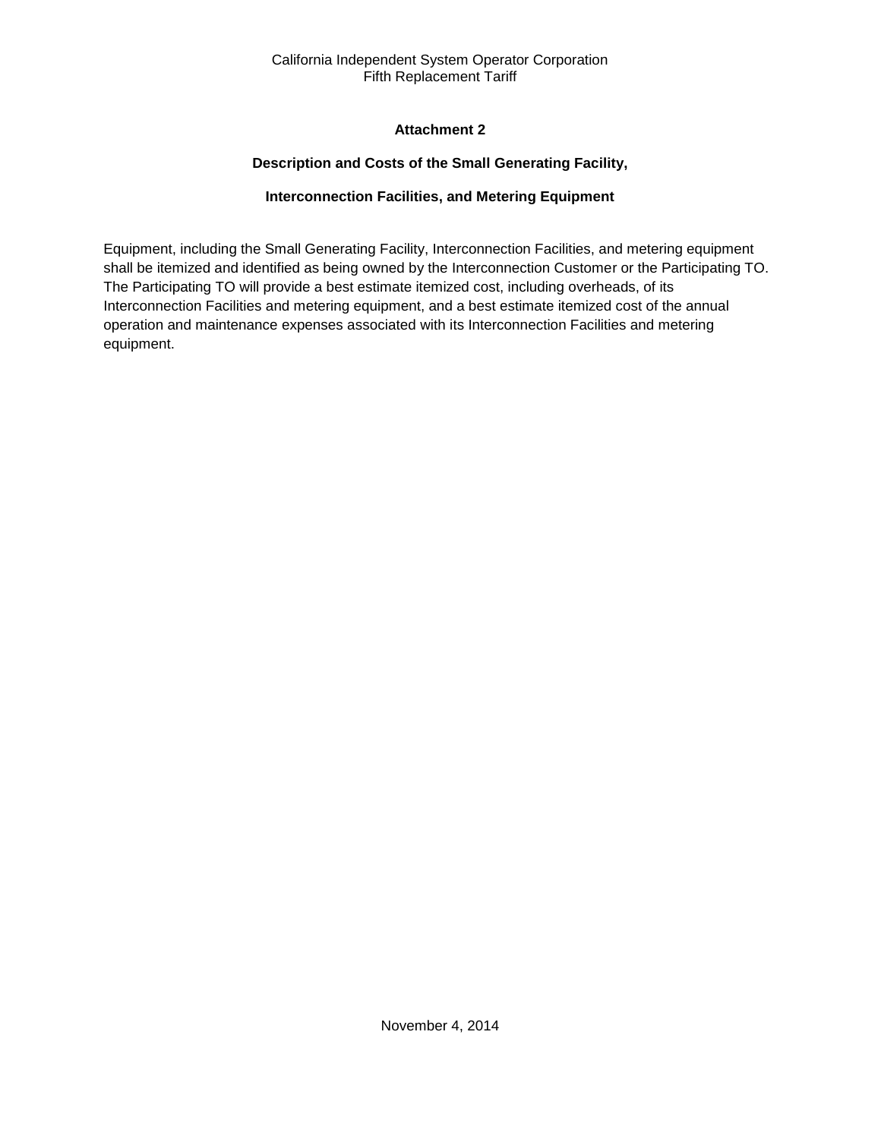# **Attachment 2**

# **Description and Costs of the Small Generating Facility,**

# **Interconnection Facilities, and Metering Equipment**

<span id="page-34-2"></span><span id="page-34-1"></span><span id="page-34-0"></span>Equipment, including the Small Generating Facility, Interconnection Facilities, and metering equipment shall be itemized and identified as being owned by the Interconnection Customer or the Participating TO. The Participating TO will provide a best estimate itemized cost, including overheads, of its Interconnection Facilities and metering equipment, and a best estimate itemized cost of the annual operation and maintenance expenses associated with its Interconnection Facilities and metering equipment.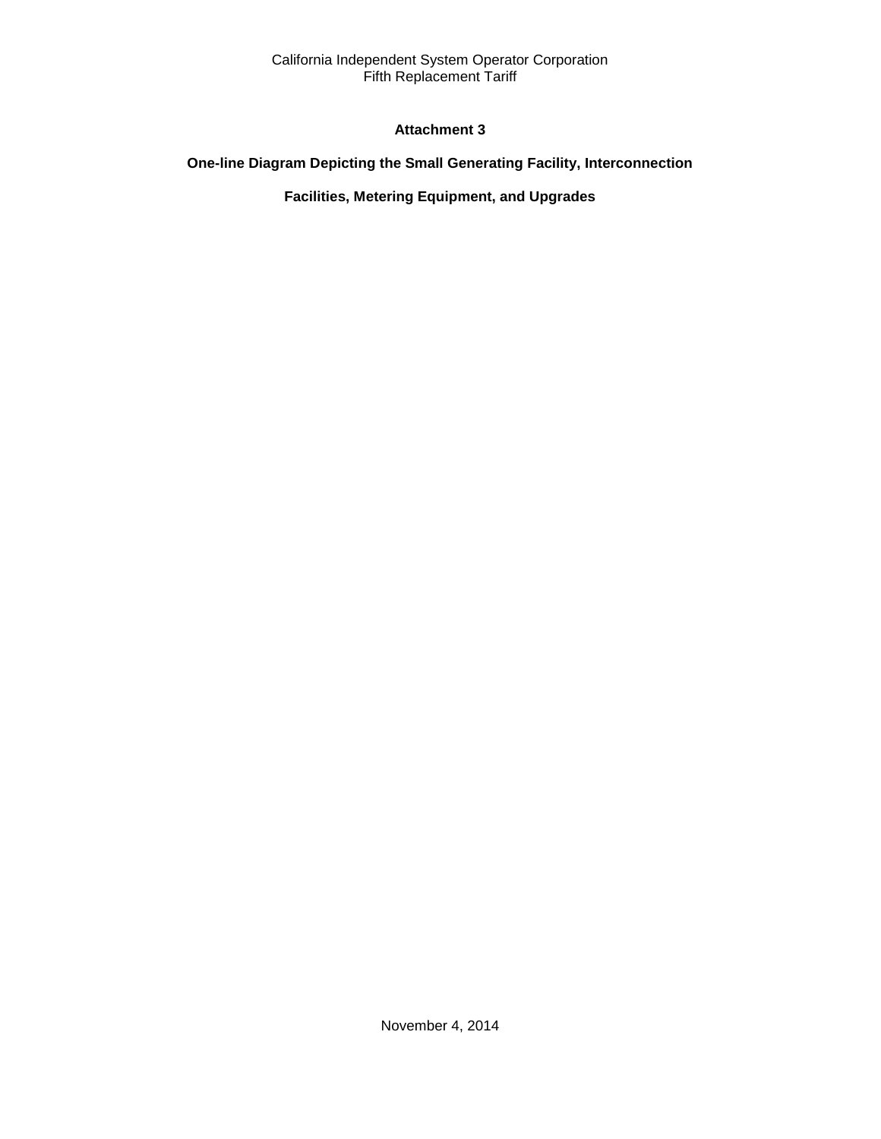# **Attachment 3**

# <span id="page-35-2"></span><span id="page-35-1"></span><span id="page-35-0"></span>**One-line Diagram Depicting the Small Generating Facility, Interconnection**

# **Facilities, Metering Equipment, and Upgrades**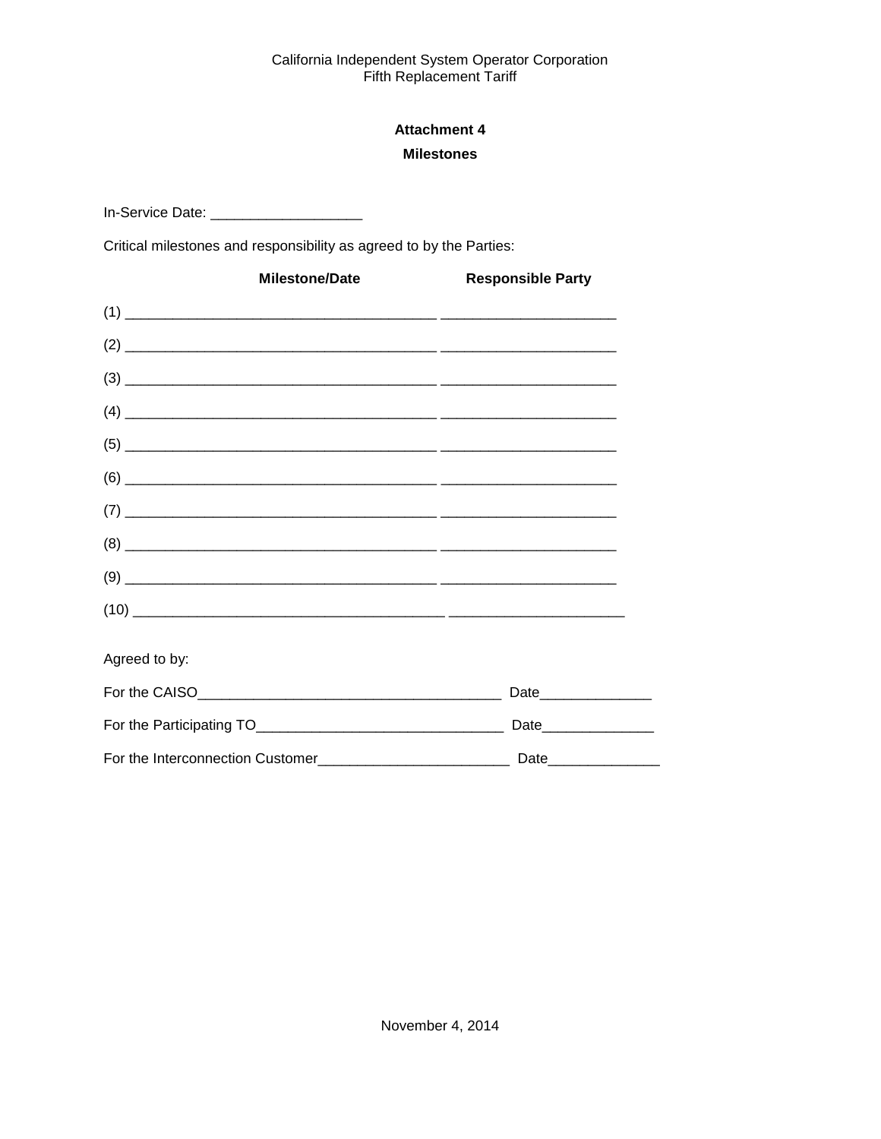# **Attachment 4 Milestones**

<span id="page-36-1"></span><span id="page-36-0"></span>In-Service Date: \_\_\_\_\_\_\_\_\_\_\_\_\_\_\_\_\_\_\_\_\_\_\_\_

Critical milestones and responsibility as agreed to by the Parties:

| <b>Milestone/Date</b> | <b>Responsible Party</b> |
|-----------------------|--------------------------|
|                       |                          |
|                       |                          |
|                       |                          |
|                       |                          |
|                       |                          |
|                       |                          |
|                       |                          |
|                       |                          |
|                       |                          |
|                       |                          |
| Agreed to by:         |                          |
|                       | Date__________________   |
|                       | Date________________     |
|                       |                          |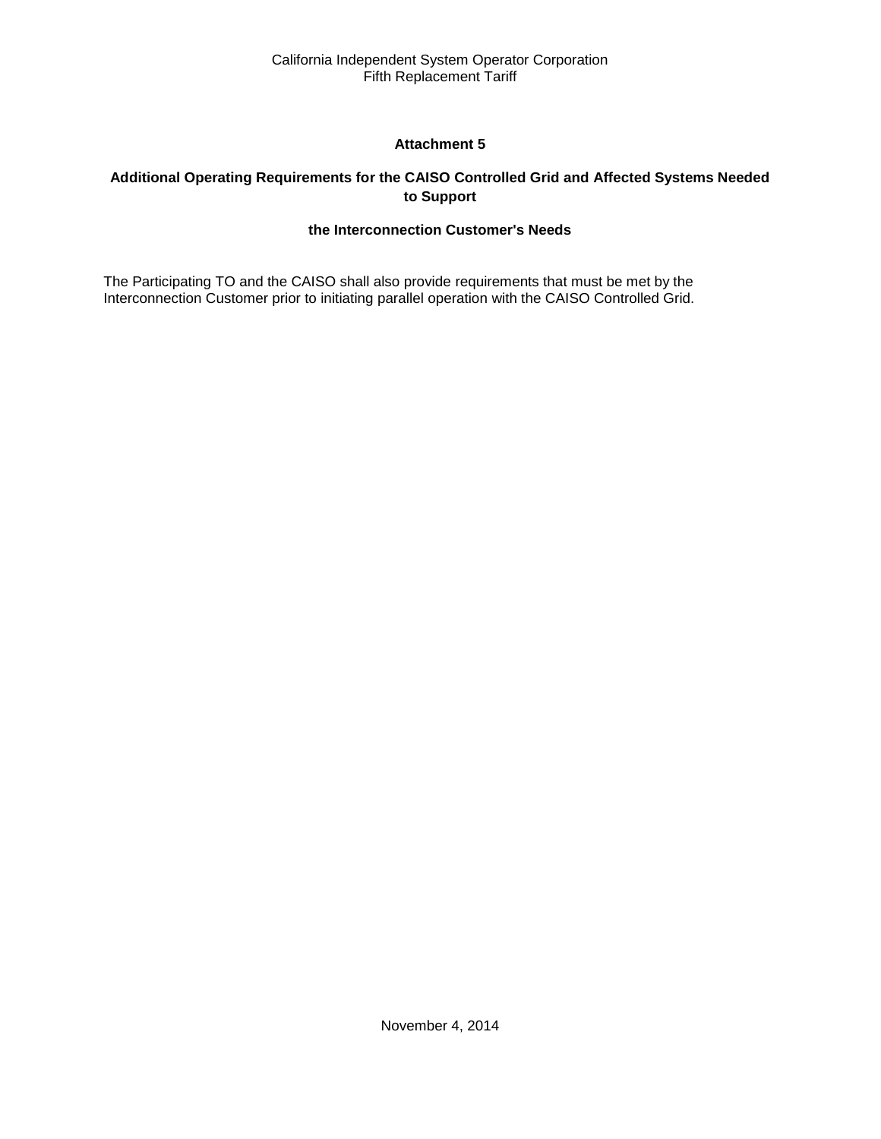# **Attachment 5**

# <span id="page-37-2"></span><span id="page-37-1"></span><span id="page-37-0"></span>**Additional Operating Requirements for the CAISO Controlled Grid and Affected Systems Needed to Support**

# **the Interconnection Customer's Needs**

The Participating TO and the CAISO shall also provide requirements that must be met by the Interconnection Customer prior to initiating parallel operation with the CAISO Controlled Grid.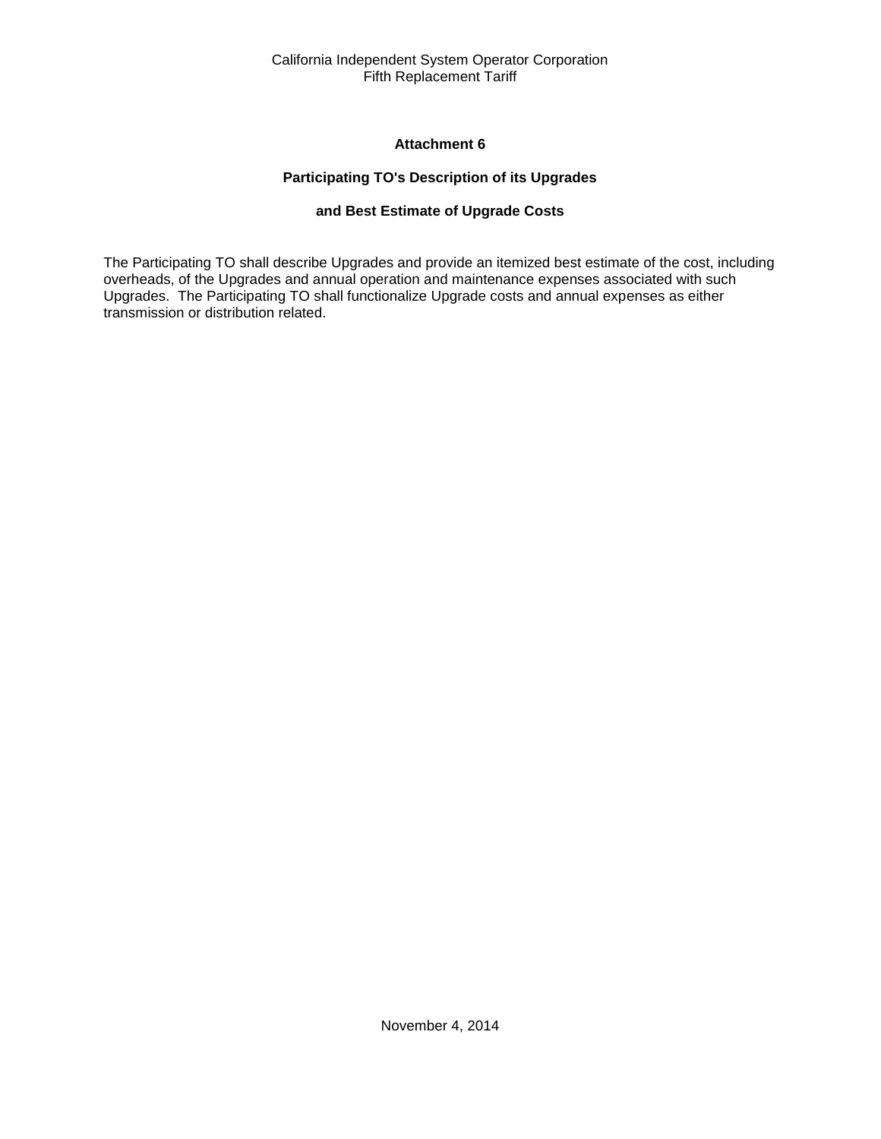### **Attachment 6**

# **Participating TO's Description of its Upgrades**

# **and Best Estimate of Upgrade Costs**

<span id="page-38-2"></span><span id="page-38-1"></span><span id="page-38-0"></span>The Participating TO shall describe Upgrades and provide an itemized best estimate of the cost, including overheads, of the Upgrades and annual operation and maintenance expenses associated with such Upgrades. The Participating TO shall functionalize Upgrade costs and annual expenses as either transmission or distribution related.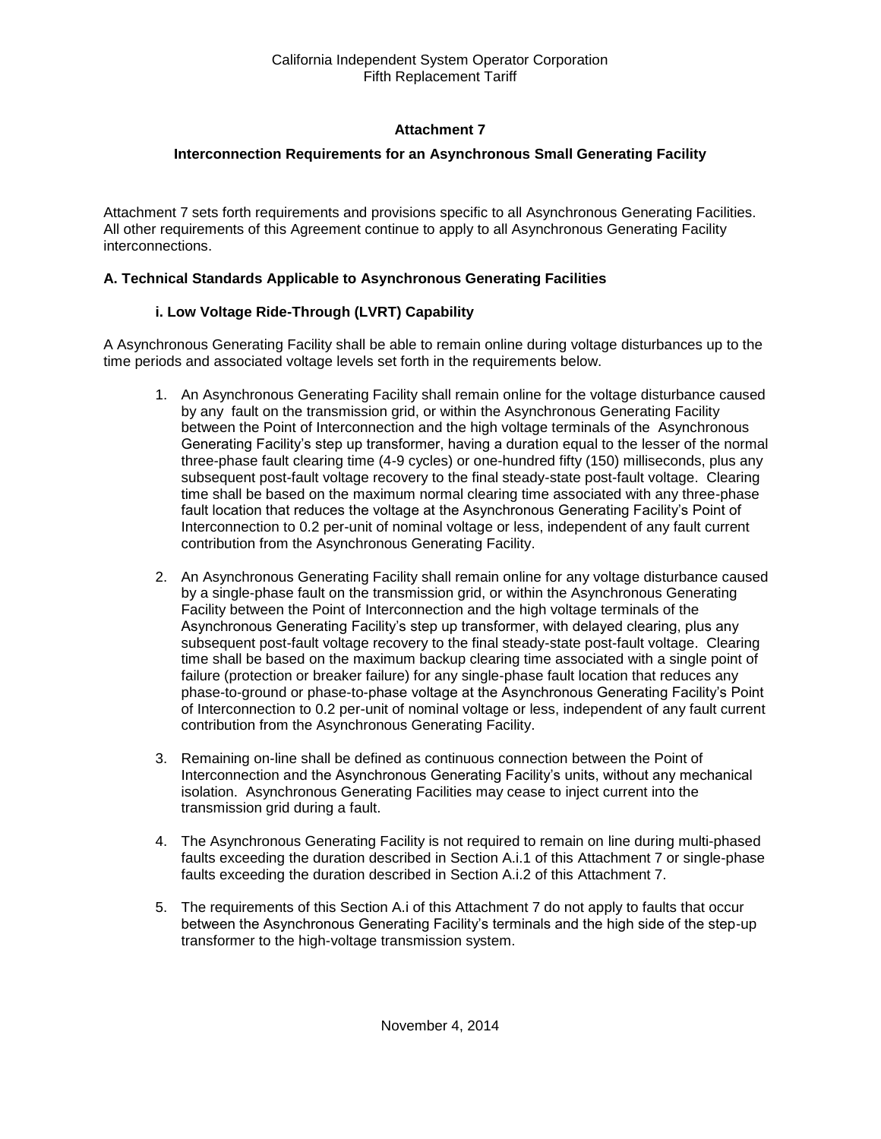# **Attachment 7**

# <span id="page-39-0"></span>**Interconnection Requirements for an Asynchronous Small Generating Facility**

<span id="page-39-1"></span>Attachment 7 sets forth requirements and provisions specific to all Asynchronous Generating Facilities. All other requirements of this Agreement continue to apply to all Asynchronous Generating Facility interconnections.

### **A. Technical Standards Applicable to Asynchronous Generating Facilities**

# **i. Low Voltage Ride-Through (LVRT) Capability**

A Asynchronous Generating Facility shall be able to remain online during voltage disturbances up to the time periods and associated voltage levels set forth in the requirements below.

- 1. An Asynchronous Generating Facility shall remain online for the voltage disturbance caused by any fault on the transmission grid, or within the Asynchronous Generating Facility between the Point of Interconnection and the high voltage terminals of the Asynchronous Generating Facility's step up transformer, having a duration equal to the lesser of the normal three-phase fault clearing time (4-9 cycles) or one-hundred fifty (150) milliseconds, plus any subsequent post-fault voltage recovery to the final steady-state post-fault voltage. Clearing time shall be based on the maximum normal clearing time associated with any three-phase fault location that reduces the voltage at the Asynchronous Generating Facility's Point of Interconnection to 0.2 per-unit of nominal voltage or less, independent of any fault current contribution from the Asynchronous Generating Facility.
- 2. An Asynchronous Generating Facility shall remain online for any voltage disturbance caused by a single-phase fault on the transmission grid, or within the Asynchronous Generating Facility between the Point of Interconnection and the high voltage terminals of the Asynchronous Generating Facility's step up transformer, with delayed clearing, plus any subsequent post-fault voltage recovery to the final steady-state post-fault voltage. Clearing time shall be based on the maximum backup clearing time associated with a single point of failure (protection or breaker failure) for any single-phase fault location that reduces any phase-to-ground or phase-to-phase voltage at the Asynchronous Generating Facility's Point of Interconnection to 0.2 per-unit of nominal voltage or less, independent of any fault current contribution from the Asynchronous Generating Facility.
- 3. Remaining on-line shall be defined as continuous connection between the Point of Interconnection and the Asynchronous Generating Facility's units, without any mechanical isolation. Asynchronous Generating Facilities may cease to inject current into the transmission grid during a fault.
- 4. The Asynchronous Generating Facility is not required to remain on line during multi-phased faults exceeding the duration described in Section A.i.1 of this Attachment 7 or single-phase faults exceeding the duration described in Section A.i.2 of this Attachment 7.
- 5. The requirements of this Section A.i of this Attachment 7 do not apply to faults that occur between the Asynchronous Generating Facility's terminals and the high side of the step-up transformer to the high-voltage transmission system.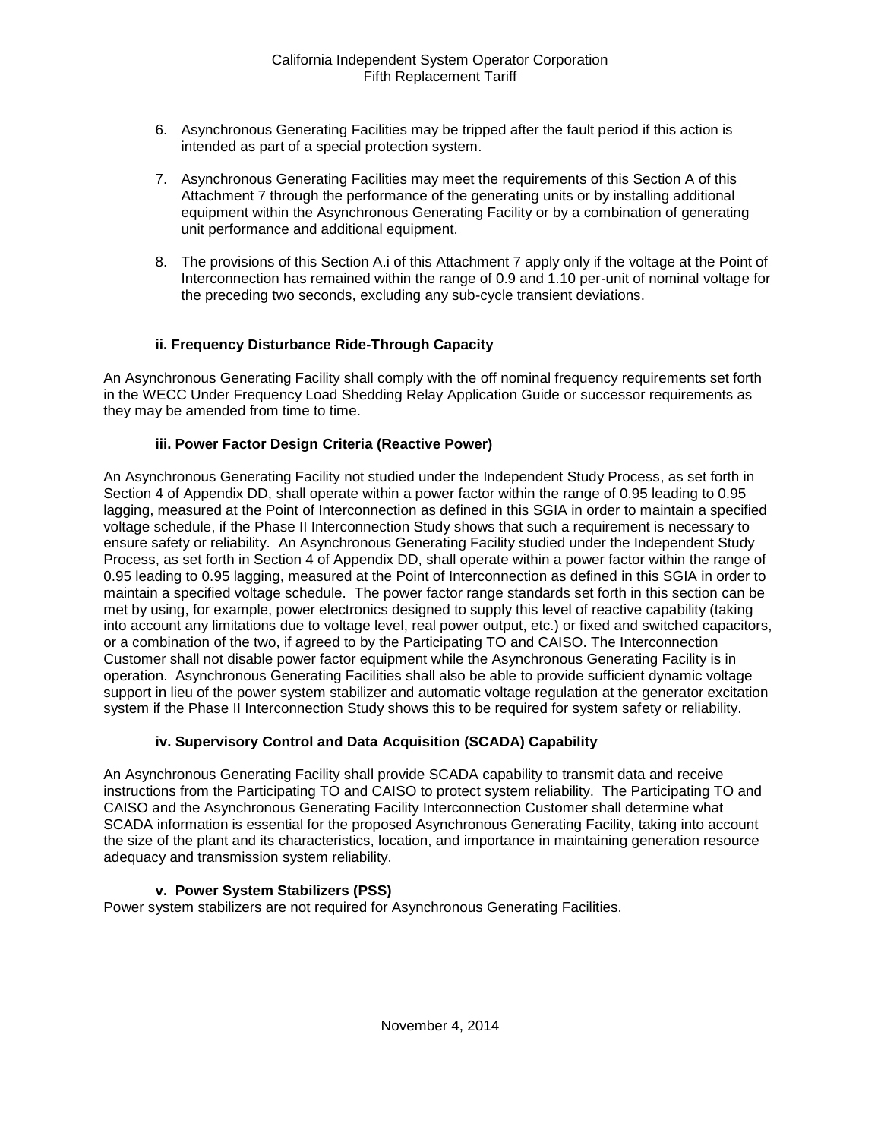- 6. Asynchronous Generating Facilities may be tripped after the fault period if this action is intended as part of a special protection system.
- 7. Asynchronous Generating Facilities may meet the requirements of this Section A of this Attachment 7 through the performance of the generating units or by installing additional equipment within the Asynchronous Generating Facility or by a combination of generating unit performance and additional equipment.
- 8. The provisions of this Section A.i of this Attachment 7 apply only if the voltage at the Point of Interconnection has remained within the range of 0.9 and 1.10 per-unit of nominal voltage for the preceding two seconds, excluding any sub-cycle transient deviations.

# **ii. Frequency Disturbance Ride-Through Capacity**

An Asynchronous Generating Facility shall comply with the off nominal frequency requirements set forth in the WECC Under Frequency Load Shedding Relay Application Guide or successor requirements as they may be amended from time to time.

# **iii. Power Factor Design Criteria (Reactive Power)**

An Asynchronous Generating Facility not studied under the Independent Study Process, as set forth in Section 4 of Appendix DD, shall operate within a power factor within the range of 0.95 leading to 0.95 lagging, measured at the Point of Interconnection as defined in this SGIA in order to maintain a specified voltage schedule, if the Phase II Interconnection Study shows that such a requirement is necessary to ensure safety or reliability. An Asynchronous Generating Facility studied under the Independent Study Process, as set forth in Section 4 of Appendix DD, shall operate within a power factor within the range of 0.95 leading to 0.95 lagging, measured at the Point of Interconnection as defined in this SGIA in order to maintain a specified voltage schedule. The power factor range standards set forth in this section can be met by using, for example, power electronics designed to supply this level of reactive capability (taking into account any limitations due to voltage level, real power output, etc.) or fixed and switched capacitors, or a combination of the two, if agreed to by the Participating TO and CAISO. The Interconnection Customer shall not disable power factor equipment while the Asynchronous Generating Facility is in operation. Asynchronous Generating Facilities shall also be able to provide sufficient dynamic voltage support in lieu of the power system stabilizer and automatic voltage regulation at the generator excitation system if the Phase II Interconnection Study shows this to be required for system safety or reliability.

#### **iv. Supervisory Control and Data Acquisition (SCADA) Capability**

An Asynchronous Generating Facility shall provide SCADA capability to transmit data and receive instructions from the Participating TO and CAISO to protect system reliability. The Participating TO and CAISO and the Asynchronous Generating Facility Interconnection Customer shall determine what SCADA information is essential for the proposed Asynchronous Generating Facility, taking into account the size of the plant and its characteristics, location, and importance in maintaining generation resource adequacy and transmission system reliability.

# **v. Power System Stabilizers (PSS)**

Power system stabilizers are not required for Asynchronous Generating Facilities.